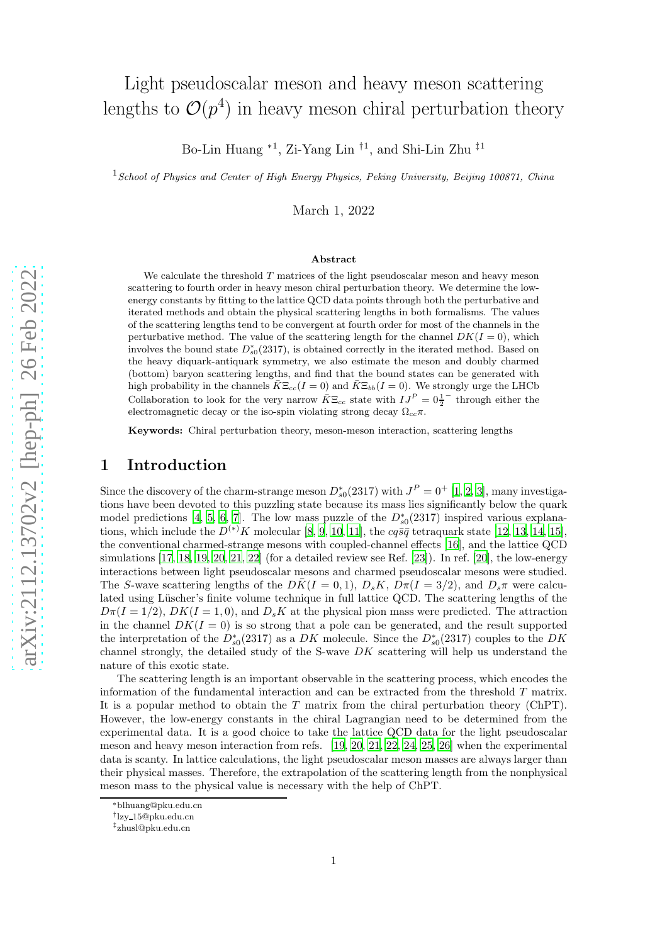# Light pseudoscalar meson and heavy meson scattering lengths to  $\mathcal{O}(p^4)$  in heavy meson chiral perturbation theory

Bo-Lin Huang <sup>∗1</sup>, Zi-Yang Lin <sup>†1</sup>, and Shi-Lin Zhu <sup>‡1</sup>

<sup>1</sup> School of Physics and Center of High Energy Physics, Peking University, Beijing 100871, China

March 1, 2022

#### Abstract

We calculate the threshold  $T$  matrices of the light pseudoscalar meson and heavy meson scattering to fourth order in heavy meson chiral perturbation theory. We determine the lowenergy constants by fitting to the lattice QCD data points through both the perturbative and iterated methods and obtain the physical scattering lengths in both formalisms. The values of the scattering lengths tend to be convergent at fourth order for most of the channels in the perturbative method. The value of the scattering length for the channel  $DK(I = 0)$ , which involves the bound state  $D_{s0}^*(2317)$ , is obtained correctly in the iterated method. Based on the heavy diquark-antiquark symmetry, we also estimate the meson and doubly charmed (bottom) baryon scattering lengths, and find that the bound states can be generated with high probability in the channels  $\bar{K}\Xi_{cc}(I=0)$  and  $\bar{K}\Xi_{bb}(I=0)$ . We strongly urge the LHCb Collaboration to look for the very narrow  $\overline{K} \Xi_{cc}$  state with  $IJ^P = 0\frac{1}{2}$ − through either the electromagnetic decay or the iso-spin violating strong decay  $\Omega_{cc}\pi$ .

Keywords: Chiral perturbation theory, meson-meson interaction, scattering lengths

### 1 Introduction

Since the discovery of the charm-strange meson  $D_{s0}^*(2317)$  with  $J^P = 0^+$  [\[1](#page-18-0), [2](#page-18-1), [3](#page-18-2)], many investigations have been devoted to this puzzling state because its mass lies significantly below the quark model predictions [\[4,](#page-18-3) [5,](#page-18-4) [6](#page-18-5), [7\]](#page-18-6). The low mass puzzle of the  $D_{s0}^*(2317)$  inspired various explanations, which include the  $D^{(*)}K$  molecular [\[8](#page-18-7), [9,](#page-18-8) [10,](#page-18-9) [11\]](#page-18-10), the  $cq\bar{s}\bar{q}$  tetraquark state [\[12,](#page-18-11) [13](#page-18-12), [14,](#page-18-13) [15\]](#page-18-14), the conventional charmed-strange mesons with coupled-channel effects [\[16](#page-18-15)], and the lattice QCD simulations [\[17,](#page-18-16) [18](#page-18-17), [19,](#page-18-18) [20](#page-18-19), [21,](#page-18-20) [22](#page-18-21)] (for a detailed review see Ref. [\[23](#page-18-22)]). In ref. [\[20\]](#page-18-19), the low-energy interactions between light pseudoscalar mesons and charmed pseudoscalar mesons were studied. The S-wave scattering lengths of the  $D\bar{K}(I = 0, 1), D_sK, D\pi(I = 3/2)$ , and  $D_s\pi$  were calculated using Lüscher's finite volume technique in full lattice QCD. The scattering lengths of the  $D\pi(I=1/2)$ ,  $DK(I=1,0)$ , and  $D_sK$  at the physical pion mass were predicted. The attraction in the channel  $DK(I = 0)$  is so strong that a pole can be generated, and the result supported the interpretation of the  $D_{s0}^*(2317)$  as a DK molecule. Since the  $D_{s0}^*(2317)$  couples to the DK channel strongly, the detailed study of the S-wave  $DK$  scattering will help us understand the nature of this exotic state.

The scattering length is an important observable in the scattering process, which encodes the information of the fundamental interaction and can be extracted from the threshold T matrix. It is a popular method to obtain the T matrix from the chiral perturbation theory (ChPT). However, the low-energy constants in the chiral Lagrangian need to be determined from the experimental data. It is a good choice to take the lattice QCD data for the light pseudoscalar meson and heavy meson interaction from refs. [\[19,](#page-18-18) [20](#page-18-19), [21,](#page-18-20) [22,](#page-18-21) [24](#page-18-23), [25,](#page-18-24) [26\]](#page-19-0) when the experimental data is scanty. In lattice calculations, the light pseudoscalar meson masses are always larger than their physical masses. Therefore, the extrapolation of the scattering length from the nonphysical meson mass to the physical value is necessary with the help of ChPT.

<sup>∗</sup>blhuang@pku.edu.cn

<sup>†</sup> lzy 15@pku.edu.cn

<sup>‡</sup> zhusl@pku.edu.cn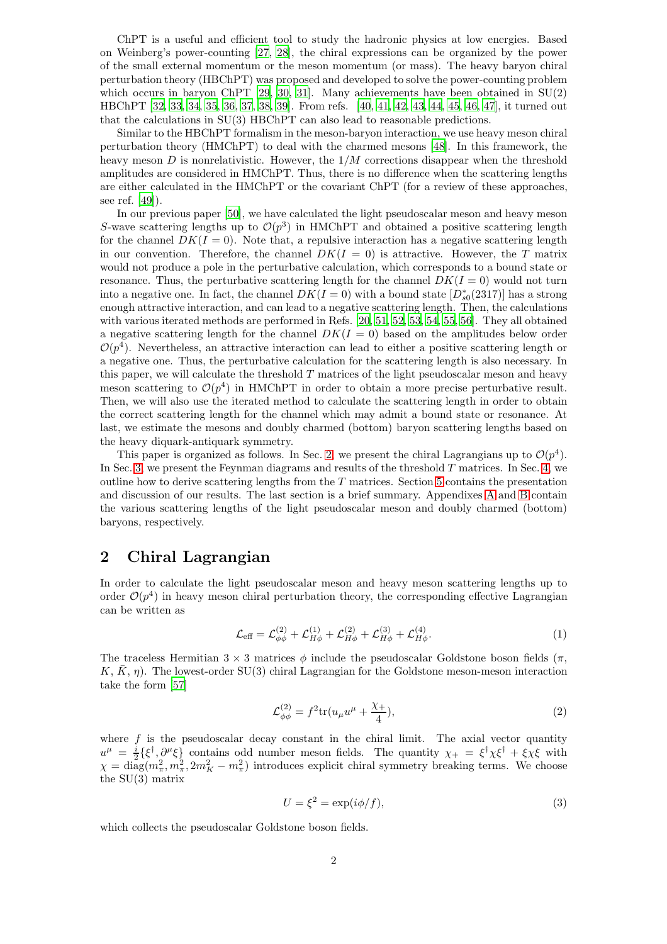ChPT is a useful and efficient tool to study the hadronic physics at low energies. Based on Weinberg's power-counting [\[27,](#page-19-1) [28](#page-19-2)], the chiral expressions can be organized by the power of the small external momentum or the meson momentum (or mass). The heavy baryon chiral perturbation theory (HBChPT) was proposed and developed to solve the power-counting problem which occurs in baryon ChPT  $[29, 30, 31]$  $[29, 30, 31]$  $[29, 30, 31]$ . Many achievements have been obtained in  $SU(2)$ HBChPT [\[32](#page-19-6), [33](#page-19-7), [34,](#page-19-8) [35,](#page-19-9) [36,](#page-19-10) [37](#page-19-11), [38](#page-19-12), [39\]](#page-19-13). From refs. [\[40,](#page-19-14) [41,](#page-19-15) [42,](#page-19-16) [43](#page-19-17), [44,](#page-19-18) [45,](#page-19-19) [46,](#page-19-20) [47](#page-19-21)], it turned out that the calculations in SU(3) HBChPT can also lead to reasonable predictions.

Similar to the HBChPT formalism in the meson-baryon interaction, we use heavy meson chiral perturbation theory (HMChPT) to deal with the charmed mesons [\[48\]](#page-19-22). In this framework, the heavy meson  $D$  is nonrelativistic. However, the  $1/M$  corrections disappear when the threshold amplitudes are considered in HMChPT. Thus, there is no difference when the scattering lengths are either calculated in the HMChPT or the covariant ChPT (for a review of these approaches, see ref. [\[49\]](#page-19-23)).

In our previous paper [\[50](#page-19-24)], we have calculated the light pseudoscalar meson and heavy meson S-wave scattering lengths up to  $\mathcal{O}(p^3)$  in HMChPT and obtained a positive scattering length for the channel  $DK(I = 0)$ . Note that, a repulsive interaction has a negative scattering length in our convention. Therefore, the channel  $DK(I = 0)$  is attractive. However, the T matrix would not produce a pole in the perturbative calculation, which corresponds to a bound state or resonance. Thus, the perturbative scattering length for the channel  $DK(I = 0)$  would not turn into a negative one. In fact, the channel  $DK(I = 0)$  with a bound state  $[D_{s0}^*(2317)]$  has a strong enough attractive interaction, and can lead to a negative scattering length. Then, the calculations with various iterated methods are performed in Refs. [\[20,](#page-18-19) [51](#page-19-25), [52](#page-19-26), [53](#page-20-0), [54,](#page-20-1) [55,](#page-20-2) [56\]](#page-20-3). They all obtained a negative scattering length for the channel  $DK(I = 0)$  based on the amplitudes below order  $\mathcal{O}(p^4)$ . Nevertheless, an attractive interaction can lead to either a positive scattering length or a negative one. Thus, the perturbative calculation for the scattering length is also necessary. In this paper, we will calculate the threshold  $T$  matrices of the light pseudoscalar meson and heavy meson scattering to  $\mathcal{O}(p^4)$  in HMChPT in order to obtain a more precise perturbative result. Then, we will also use the iterated method to calculate the scattering length in order to obtain the correct scattering length for the channel which may admit a bound state or resonance. At last, we estimate the mesons and doubly charmed (bottom) baryon scattering lengths based on the heavy diquark-antiquark symmetry.

This paper is organized as follows. In Sec. [2,](#page-1-0) we present the chiral Lagrangians up to  $\mathcal{O}(p^4)$ . In Sec. [3,](#page-2-0) we present the Feynman diagrams and results of the threshold  $T$  matrices. In Sec. [4,](#page-6-0) we outline how to derive scattering lengths from the  $T$  matrices. Section [5](#page-6-1) contains the presentation and discussion of our results. The last section is a brief summary. Appendixes [A](#page-14-0) and [B](#page-16-0) contain the various scattering lengths of the light pseudoscalar meson and doubly charmed (bottom) baryons, respectively.

## <span id="page-1-0"></span>2 Chiral Lagrangian

In order to calculate the light pseudoscalar meson and heavy meson scattering lengths up to order  $\mathcal{O}(p^4)$  in heavy meson chiral perturbation theory, the corresponding effective Lagrangian can be written as

$$
\mathcal{L}_{\text{eff}} = \mathcal{L}_{\phi\phi}^{(2)} + \mathcal{L}_{H\phi}^{(1)} + \mathcal{L}_{H\phi}^{(2)} + \mathcal{L}_{H\phi}^{(3)} + \mathcal{L}_{H\phi}^{(4)}.
$$
 (1)

The traceless Hermitian  $3 \times 3$  matrices  $\phi$  include the pseudoscalar Goldstone boson fields ( $\pi$ ,  $K, \bar{K}, \eta$ ). The lowest-order SU(3) chiral Lagrangian for the Goldstone meson-meson interaction take the form [\[57](#page-20-4)]

$$
\mathcal{L}^{(2)}_{\phi\phi} = f^2 \text{tr}(u_\mu u^\mu + \frac{\chi_+}{4}),\tag{2}
$$

where  $f$  is the pseudoscalar decay constant in the chiral limit. The axial vector quantity  $u^{\mu} = \frac{i}{2} \{\xi^{\dagger}, \partial^{\mu}\xi\}$  contains odd number meson fields. The quantity  $\chi_{+} = \xi^{\dagger}\chi\xi^{\dagger} + \xi\chi\xi$  with  $\chi = \text{diag}(m_{\pi}^2, m_{\pi}^2, 2m_K^2 - m_{\pi}^2)$  introduces explicit chiral symmetry breaking terms. We choose the SU(3) matrix

$$
U = \xi^2 = \exp(i\phi/f),\tag{3}
$$

which collects the pseudoscalar Goldstone boson fields.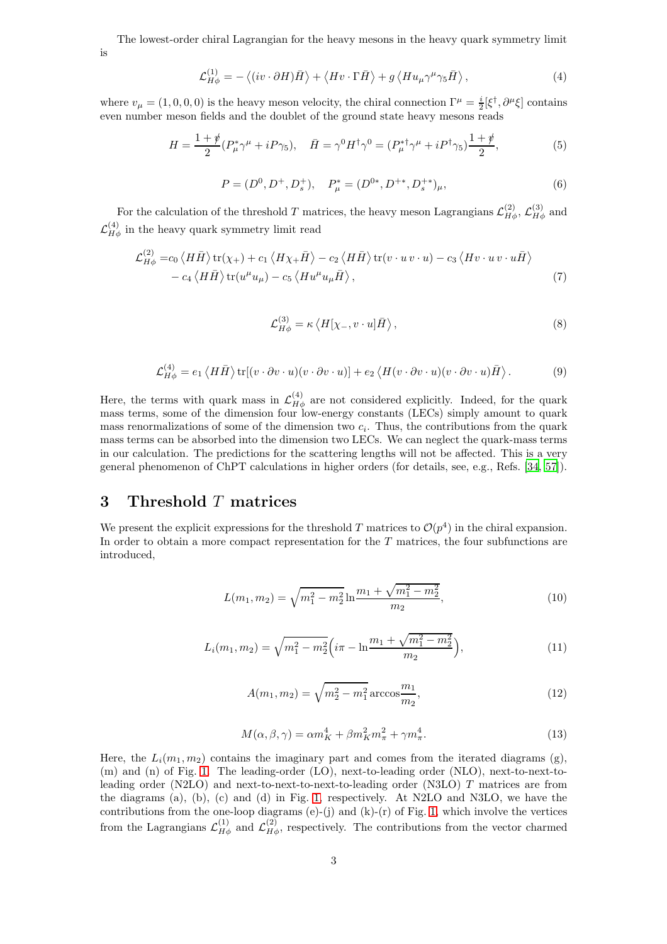The lowest-order chiral Lagrangian for the heavy mesons in the heavy quark symmetry limit is

$$
\mathcal{L}_{H\phi}^{(1)} = -\left\langle (iv \cdot \partial H)\bar{H} \right\rangle + \left\langle Hv \cdot \Gamma \bar{H} \right\rangle + g \left\langle H u_{\mu} \gamma^{\mu} \gamma_5 \bar{H} \right\rangle, \tag{4}
$$

where  $v_{\mu} = (1, 0, 0, 0)$  is the heavy meson velocity, the chiral connection  $\Gamma^{\mu} = \frac{i}{2} [\xi^{\dagger}, \partial^{\mu} \xi]$  contains even number meson fields and the doublet of the ground state heavy mesons reads

$$
H = \frac{1+\psi}{2} (P_{\mu}^* \gamma^{\mu} + iP \gamma_5), \quad \bar{H} = \gamma^0 H^{\dagger} \gamma^0 = (P_{\mu}^{* \dagger} \gamma^{\mu} + iP^{\dagger} \gamma_5) \frac{1+\psi}{2}, \tag{5}
$$

$$
P = (D^0, D^+, D_s^+), \quad P^*_{\mu} = (D^{0*}, D^{+*}, D_s^{+*})_{\mu}, \tag{6}
$$

For the calculation of the threshold T matrices, the heavy meson Lagrangians  $\mathcal{L}_{H\phi}^{(2)}$ ,  $\mathcal{L}_{H\phi}^{(3)}$  and  $\mathcal{L}_{H\phi}^{(4)}$  in the heavy quark symmetry limit read

$$
\mathcal{L}_{H\phi}^{(2)} = c_0 \langle H\bar{H} \rangle \text{tr}(\chi_+) + c_1 \langle H\chi_+\bar{H} \rangle - c_2 \langle H\bar{H} \rangle \text{tr}(v \cdot u \, v \cdot u) - c_3 \langle Hv \cdot u \, v \cdot u\bar{H} \rangle - c_4 \langle H\bar{H} \rangle \text{tr}(u^{\mu}u_{\mu}) - c_5 \langle Hu^{\mu}u_{\mu}\bar{H} \rangle, \tag{7}
$$

$$
\mathcal{L}_{H\phi}^{(3)} = \kappa \left\langle H[\chi_-, v \cdot u] \bar{H} \right\rangle, \tag{8}
$$

$$
\mathcal{L}_{H\phi}^{(4)} = e_1 \langle H\bar{H}\rangle \operatorname{tr}[(v \cdot \partial v \cdot u)(v \cdot \partial v \cdot u)] + e_2 \langle H(v \cdot \partial v \cdot u)(v \cdot \partial v \cdot u)\bar{H}\rangle. \tag{9}
$$

Here, the terms with quark mass in  $\mathcal{L}_{H\phi}^{(4)}$  are not considered explicitly. Indeed, for the quark mass terms, some of the dimension four low-energy constants (LECs) simply amount to quark mass renormalizations of some of the dimension two  $c_i$ . Thus, the contributions from the quark mass terms can be absorbed into the dimension two LECs. We can neglect the quark-mass terms in our calculation. The predictions for the scattering lengths will not be affected. This is a very general phenomenon of ChPT calculations in higher orders (for details, see, e.g., Refs. [\[34,](#page-19-8) [57\]](#page-20-4)).

## <span id="page-2-0"></span>3 Threshold T matrices

We present the explicit expressions for the threshold T matrices to  $\mathcal{O}(p^4)$  in the chiral expansion. In order to obtain a more compact representation for the  $T$  matrices, the four subfunctions are introduced,

$$
L(m_1, m_2) = \sqrt{m_1^2 - m_2^2} \ln \frac{m_1 + \sqrt{m_1^2 - m_2^2}}{m_2},
$$
\n(10)

$$
L_i(m_1, m_2) = \sqrt{m_1^2 - m_2^2} \left( i\pi - \ln \frac{m_1 + \sqrt{m_1^2 - m_2^2}}{m_2} \right),\tag{11}
$$

$$
A(m_1, m_2) = \sqrt{m_2^2 - m_1^2} \arccos \frac{m_1}{m_2},
$$
\n(12)

$$
M(\alpha, \beta, \gamma) = \alpha m_K^4 + \beta m_K^2 m_\pi^2 + \gamma m_\pi^4. \tag{13}
$$

Here, the  $L_i(m_1, m_2)$  contains the imaginary part and comes from the iterated diagrams (g), (m) and (n) of Fig. [1.](#page-3-0) The leading-order (LO), next-to-leading order (NLO), next-to-next-toleading order (N2LO) and next-to-next-to-next-to-leading order (N3LO) T matrices are from the diagrams (a), (b), (c) and (d) in Fig. [1,](#page-3-0) respectively. At N2LO and N3LO, we have the contributions from the one-loop diagrams  $(e)$ -(j) and  $(k)$ -(r) of Fig. [1,](#page-3-0) which involve the vertices from the Lagrangians  $\mathcal{L}_{H\phi}^{(1)}$  and  $\mathcal{L}_{H\phi}^{(2)}$ , respectively. The contributions from the vector charmed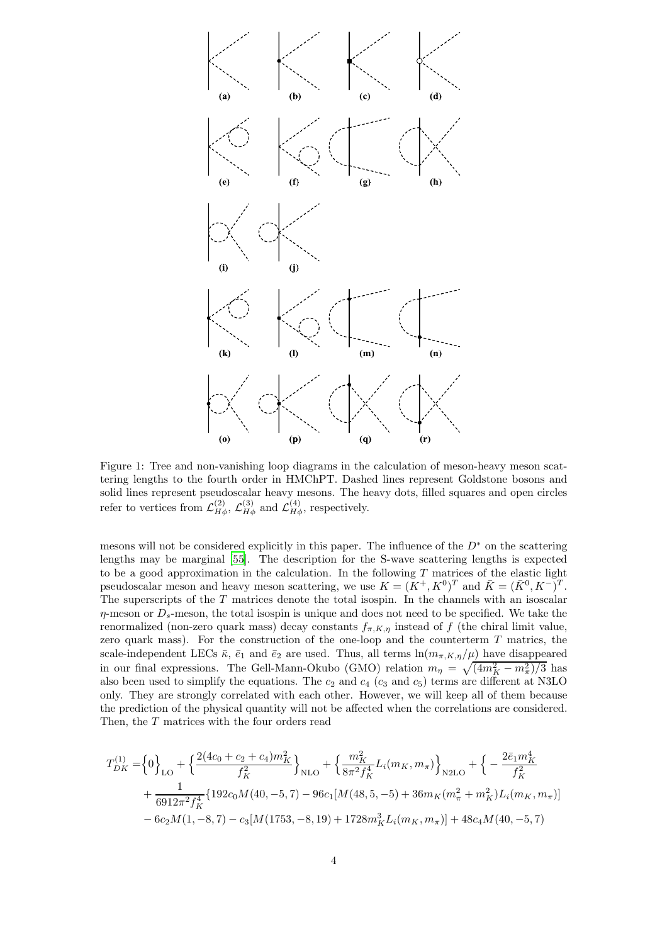

<span id="page-3-0"></span>Figure 1: Tree and non-vanishing loop diagrams in the calculation of meson-heavy meson scattering lengths to the fourth order in HMChPT. Dashed lines represent Goldstone bosons and solid lines represent pseudoscalar heavy mesons. The heavy dots, filled squares and open circles refer to vertices from  $\mathcal{L}_{H\phi}^{(2)}$ ,  $\mathcal{L}_{H\phi}^{(3)}$  and  $\mathcal{L}_{H\phi}^{(4)}$ , respectively.

mesons will not be considered explicitly in this paper. The influence of the  $D^*$  on the scattering lengths may be marginal [\[55\]](#page-20-2). The description for the S-wave scattering lengths is expected to be a good approximation in the calculation. In the following  $T$  matrices of the elastic light pseudoscalar meson and heavy meson scattering, we use  $K = (K^+, K^0)^T$  and  $\bar{K} = (\bar{K}^0, K^-)^T$ . The superscripts of the T matrices denote the total isospin. In the channels with an isoscalar  $\eta$ -meson or  $D_s$ -meson, the total isospin is unique and does not need to be specified. We take the renormalized (non-zero quark mass) decay constants  $f_{\pi,K,\eta}$  instead of f (the chiral limit value, zero quark mass). For the construction of the one-loop and the counterterm  $T$  matrics, the scale-independent LECs  $\bar{\kappa}$ ,  $\bar{e}_1$  and  $\bar{e}_2$  are used. Thus, all terms  $\ln(m_{\pi,K,\eta}/\mu)$  have disappeared in our final expressions. The Gell-Mann-Okubo (GMO) relation  $m_{\eta} = \sqrt{(4m_K^2 - m_{\pi}^2)/3}$  has also been used to simplify the equations. The  $c_2$  and  $c_4$  ( $c_3$  and  $c_5$ ) terms are different at N3LO only. They are strongly correlated with each other. However, we will keep all of them because the prediction of the physical quantity will not be affected when the correlations are considered. Then, the T matrices with the four orders read

$$
T_{DK}^{(1)} = \left\{0\right\}_{LO} + \left\{\frac{2(4c_0 + c_2 + c_4)m_K^2}{f_K^2}\right\}_{NLO} + \left\{\frac{m_K^2}{8\pi^2 f_K^4} L_i(m_K, m_\pi)\right\}_{N2LO} + \left\{-\frac{2\bar{e}_1 m_K^4}{f_K^2} + \frac{1}{6912\pi^2 f_K^4} \{192c_0M(40, -5, 7) - 96c_1[M(48, 5, -5) + 36m_K(m_\pi^2 + m_K^2)L_i(m_K, m_\pi)] - 6c_2M(1, -8, 7) - c_3[M(1753, -8, 19) + 1728m_K^3L_i(m_K, m_\pi)] + 48c_4M(40, -5, 7)
$$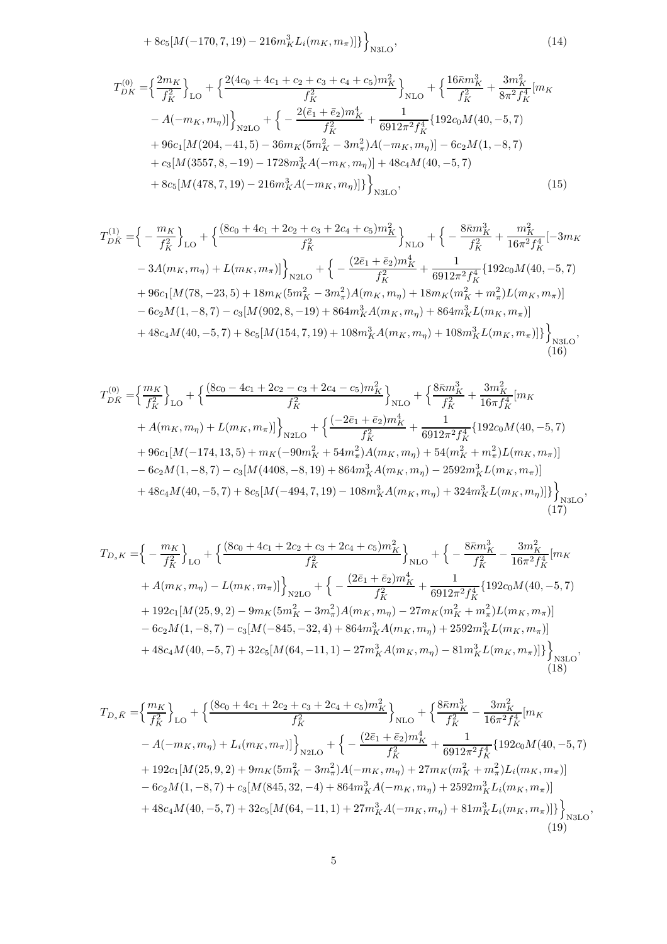<span id="page-4-0"></span>
$$
+8c_5[M(-170,7,19)-216m_K^3L_i(m_K,m_\pi)]\big\}_{N3LO},\tag{14}
$$

$$
T_{DK}^{(0)} = \left\{ \frac{2m_K}{f_K^2} \right\}_{LO} + \left\{ \frac{2(4c_0 + 4c_1 + c_2 + c_3 + c_4 + c_5)m_K^2}{f_K^2} \right\}_{NLO} + \left\{ \frac{16\bar{\kappa}m_K^3}{f_K^2} + \frac{3m_K^2}{8\pi^2 f_K^4} [m_K - A(-m_K, m_\eta)] \right\}_{N2LO} + \left\{ -\frac{2(\bar{e}_1 + \bar{e}_2)m_K^4}{f_K^2} + \frac{1}{6912\pi^2 f_K^4} \{ 192c_0M(40, -5, 7) + 96c_1[M(204, -41, 5) - 36m_K(5m_K^2 - 3m_\pi^2)A(-m_K, m_\eta)] - 6c_2M(1, -8, 7) + c_3[M(3557, 8, -19) - 1728m_K^3A(-m_K, m_\eta)] + 48c_4M(40, -5, 7) + 8c_5[M(478, 7, 19) - 216m_K^3A(-m_K, m_\eta)] \} \right\}_{N3LO},
$$
\n(15)

$$
T_{DK}^{(1)} = \left\{ -\frac{m_K}{f_K^2} \right\}_{LO} + \left\{ \frac{(8c_0 + 4c_1 + 2c_2 + c_3 + 2c_4 + c_5)m_K^2}{f_K^2} \right\}_{NLO} + \left\{ -\frac{8\bar{\kappa}m_K^3}{f_K^2} + \frac{m_K^2}{16\pi^2 f_K^4} [-3m_K - 3A(m_K, m_\eta) + L(m_K, m_\pi)] \right\}_{N2LO} + \left\{ -\frac{(2\bar{e}_1 + \bar{e}_2)m_K^4}{f_K^2} + \frac{1}{6912\pi^2 f_K^4} \{ 192c_0M(40, -5, 7) + 96c_1[M(78, -23, 5) + 18m_K(5m_K^2 - 3m_\pi^2)A(m_K, m_\eta) + 18m_K(m_K^2 + m_\pi^2)L(m_K, m_\pi)] - 6c_2M(1, -8, 7) - c_3[M(902, 8, -19) + 864m_K^3A(m_K, m_\eta) + 864m_K^3L(m_K, m_\pi)] + 48c_4M(40, -5, 7) + 8c_5[M(154, 7, 19) + 108m_K^3A(m_K, m_\eta) + 108m_K^3L(m_K, m_\pi)] \right\}_{N3LO},
$$
\n(16)

$$
T_{D\bar{K}}^{(0)} = \left\{ \frac{m_K}{f_K^2} \right\}_{LO} + \left\{ \frac{(8c_0 - 4c_1 + 2c_2 - c_3 + 2c_4 - c_5)m_K^2}{f_K^2} \right\}_{NLO} + \left\{ \frac{8\bar{\kappa}m_K^3}{f_K^2} + \frac{3m_K^2}{16\pi f_K^4} [m_K + A(m_K, m_\eta) + L(m_K, m_\pi)] \right\}_{N2LO} + \left\{ \frac{(-2\bar{e}_1 + \bar{e}_2)m_K^4}{f_K^2} + \frac{1}{6912\pi^2 f_K^4} \{ 192c_0M(40, -5, 7) + 96c_1[M(-174, 13, 5) + m_K(-90m_K^2 + 54m_\pi^2)A(m_K, m_\eta) + 54(m_K^2 + m_\pi^2)L(m_K, m_\pi)] - 6c_2M(1, -8, 7) - c_3[M(4408, -8, 19) + 864m_K^3A(m_K, m_\eta) - 2592m_K^3L(m_K, m_\pi)] + 48c_4M(40, -5, 7) + 8c_5[M(-494, 7, 19) - 108m_K^3A(m_K, m_\eta) + 324m_K^3L(m_K, m_\eta)] \right\}_{N3LO},
$$
\n(17)

$$
T_{D_s K} = \left\{ -\frac{m_K}{f_K^2} \right\}_{LO} + \left\{ \frac{(8c_0 + 4c_1 + 2c_2 + c_3 + 2c_4 + c_5)m_K^2}{f_K^2} \right\}_{NLO} + \left\{ -\frac{8\bar{\kappa}m_K^3}{f_K^2} - \frac{3m_K^2}{16\pi^2 f_K^4} [m_K + A(m_K, m_\eta) - L(m_K, m_\pi)] \right\}_{N2LO} + \left\{ -\frac{(2\bar{e}_1 + \bar{e}_2)m_K^4}{f_K^2} + \frac{1}{6912\pi^2 f_K^4} \{ 192c_0M(40, -5, 7) + 192c_1[M(25, 9, 2) - 9m_K(5m_K^2 - 3m_\pi^2)A(m_K, m_\eta) - 27m_K(m_K^2 + m_\pi^2)L(m_K, m_\pi)] - 6c_2M(1, -8, 7) - c_3[M(-845, -32, 4) + 864m_K^3A(m_K, m_\eta) + 2592m_K^3L(m_K, m_\pi)] + 48c_4M(40, -5, 7) + 32c_5[M(64, -11, 1) - 27m_K^3A(m_K, m_\eta) - 81m_K^3L(m_K, m_\pi)] \right\}_{N3LO},
$$
\n(18)

$$
T_{D_s\bar{K}} = \left\{ \frac{m_K}{f_K^2} \right\}_{LO} + \left\{ \frac{(8c_0 + 4c_1 + 2c_2 + c_3 + 2c_4 + c_5)m_K^2}{f_K^2} \right\}_{NLO} + \left\{ \frac{8\bar{\kappa}m_K^3}{f_K^2} - \frac{3m_K^2}{16\pi^2 f_K^4} [m_K - A(-m_K, m_\eta) + L_i(m_K, m_\pi)] \right\}_{N2LO} + \left\{ -\frac{(2\bar{e}_1 + \bar{e}_2)m_K^4}{f_K^2} + \frac{1}{6912\pi^2 f_K^4} \{ 192c_0M(40, -5, 7) + 192c_1[M(25, 9, 2) + 9m_K(5m_K^2 - 3m_\pi^2)A(-m_K, m_\eta) + 27m_K(m_K^2 + m_\pi^2)L_i(m_K, m_\pi)] - 6c_2M(1, -8, 7) + c_3[M(845, 32, -4) + 864m_K^3A(-m_K, m_\eta) + 2592m_K^3L_i(m_K, m_\pi)] + 48c_4M(40, -5, 7) + 32c_5[M(64, -11, 1) + 27m_K^3A(-m_K, m_\eta) + 81m_K^3L_i(m_K, m_\pi)] \right\}_{N3LO},
$$
\n(19)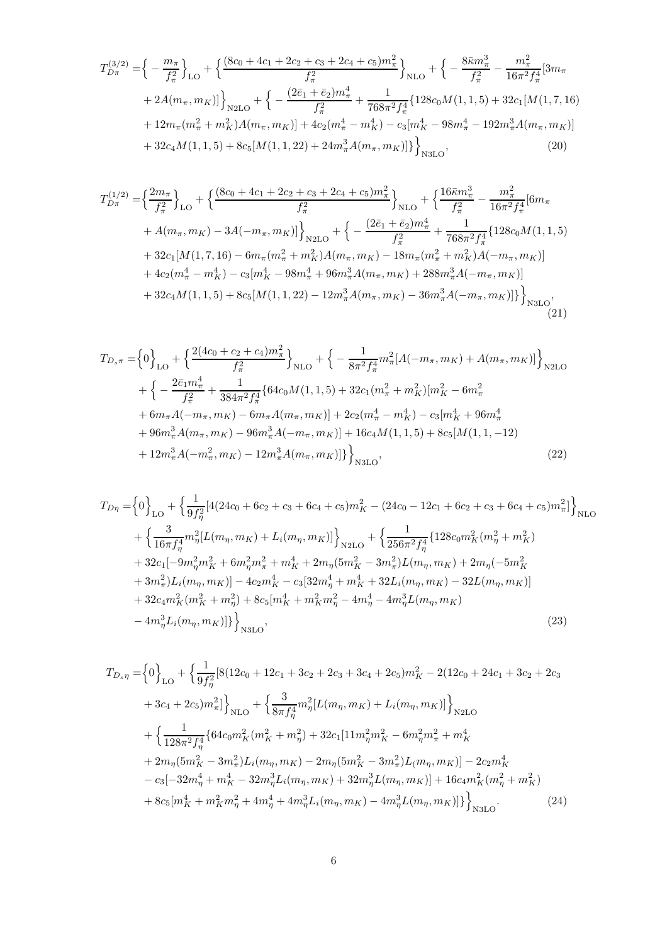$$
T_{D\pi}^{(3/2)} = \left\{ -\frac{m_{\pi}}{f_{\pi}^2} \right\}_{LO} + \left\{ \frac{(8c_0 + 4c_1 + 2c_2 + c_3 + 2c_4 + c_5)m_{\pi}^2}{f_{\pi}^2} \right\}_{NLO} + \left\{ -\frac{8\bar{\kappa}m_{\pi}^3}{f_{\pi}^2} - \frac{m_{\pi}^2}{16\pi^2 f_{\pi}^4} [3m_{\pi} + 2A(m_{\pi}, m_K)] \right\}_{N2LO} + \left\{ -\frac{(2\bar{e}_1 + \bar{e}_2)m_{\pi}^4}{f_{\pi}^2} + \frac{1}{768\pi^2 f_{\pi}^4} \{ 128c_0M(1, 1, 5) + 32c_1[M(1, 7, 16) + 12m_{\pi}(m_{\pi}^2 + m_K^2)A(m_{\pi}, m_K)] + 4c_2(m_{\pi}^4 - m_K^4) - c_3[m_{K}^4 - 98m_{\pi}^4 - 192m_{\pi}^3A(m_{\pi}, m_K)] + 32c_4M(1, 1, 5) + 8c_5[M(1, 1, 22) + 24m_{\pi}^3A(m_{\pi}, m_K)] \right\}_{N3LO},
$$
\n(20)

$$
T_{D\pi}^{(1/2)} = \left\{ \frac{2m_{\pi}}{f_{\pi}^2} \right\}_{LO} + \left\{ \frac{(8c_0 + 4c_1 + 2c_2 + c_3 + 2c_4 + c_5)m_{\pi}^2}{f_{\pi}^2} \right\}_{NLO} + \left\{ \frac{16\bar{\kappa}m_{\pi}^3}{f_{\pi}^2} - \frac{m_{\pi}^2}{16\pi^2 f_{\pi}^4} [6m_{\pi} + A(m_{\pi}, m_K) - 3A(-m_{\pi}, m_K)] \right\}_{N2LO} + \left\{ -\frac{(2\bar{e}_1 + \bar{e}_2)m_{\pi}^4}{f_{\pi}^2} + \frac{1}{768\pi^2 f_{\pi}^4} \{ 128c_0M(1, 1, 5) + 32c_1[M(1, 7, 16) - 6m_{\pi}(m_{\pi}^2 + m_K^2)A(m_{\pi}, m_K) - 18m_{\pi}(m_{\pi}^2 + m_K^2)A(-m_{\pi}, m_K)] \right\} + 4c_2(m_{\pi}^4 - m_K^4) - c_3[m_K^4 - 98m_{\pi}^4 + 96m_{\pi}^3A(m_{\pi}, m_K) + 288m_{\pi}^3A(-m_{\pi}, m_K)] \right\}_{N3LO},
$$
\n
$$
+ 32c_4M(1, 1, 5) + 8c_5[M(1, 1, 22) - 12m_{\pi}^3A(m_{\pi}, m_K) - 36m_{\pi}^3A(-m_{\pi}, m_K)] \right\}_{N3LO},
$$
\n(21)

$$
T_{D_s\pi} = \left\{0\right\}_{LO} + \left\{\frac{2(4c_0 + c_2 + c_4)m_{\pi}^2}{f_{\pi}^2}\right\}_{NLO} + \left\{-\frac{1}{8\pi^2 f_{\pi}^4} m_{\pi}^2 [A(-m_{\pi}, m_K) + A(m_{\pi}, m_K)]\right\}_{N2LO}
$$
  
+ 
$$
\left\{-\frac{2\bar{e}_1 m_{\pi}^4}{f_{\pi}^2} + \frac{1}{384\pi^2 f_{\pi}^4} \{64c_0 M(1, 1, 5) + 32c_1 (m_{\pi}^2 + m_K^2) [m_K^2 - 6m_{\pi}^2 + 6m_{\pi}A(-m_{\pi}, m_K) - 6m_{\pi}A(m_{\pi}, m_K)] + 2c_2 (m_{\pi}^4 - m_K^4) - c_3 [m_K^4 + 96m_{\pi}^4 + 96m_{\pi}^3A(m_{\pi}, m_K) - 96m_{\pi}^3A(-m_{\pi}, m_K)] + 16c_4 M(1, 1, 5) + 8c_5 [M(1, 1, -12) + 12m_{\pi}^3A(-m_{\pi}^2, m_K) - 12m_{\pi}^3A(m_{\pi}, m_K)]\}\right\}_{N3LO},
$$
\n(22)

$$
T_{D\eta} = \left\{0\right\}_{LO} + \left\{\frac{1}{9f_{\eta}^{2}}[4(24c_{0} + 6c_{2} + c_{3} + 6c_{4} + c_{5})m_{K}^{2} - (24c_{0} - 12c_{1} + 6c_{2} + c_{3} + 6c_{4} + c_{5})m_{\pi}^{2}]\right\}_{NLO}
$$
  
+ 
$$
\left\{\frac{3}{16\pi f_{\eta}^{4}}m_{\eta}^{2}[L(m_{\eta}, m_{K}) + L_{i}(m_{\eta}, m_{K})]\right\}_{N2LO} + \left\{\frac{1}{256\pi^{2}f_{\eta}^{4}}\{128c_{0}m_{K}^{2}(m_{\eta}^{2} + m_{K}^{2})\} + 32c_{1}[-9m_{\eta}^{2}m_{K}^{2} + 6m_{\eta}^{2}m_{\pi}^{2} + m_{K}^{4} + 2m_{\eta}(5m_{K}^{2} - 3m_{\pi}^{2})L(m_{\eta}, m_{K}) + 2m_{\eta}(-5m_{K}^{2} + 3m_{\pi}^{2})L_{i}(m_{\eta}, m_{K})] - 4c_{2}m_{K}^{4} - c_{3}[32m_{\eta}^{4} + m_{K}^{4} + 32L_{i}(m_{\eta}, m_{K}) - 32L(m_{\eta}, m_{K})]\right\}
$$
  
+ 
$$
32c_{4}m_{K}^{2}(m_{K}^{2} + m_{\eta}^{2}) + 8c_{5}[m_{K}^{4} + m_{K}^{2}m_{\eta}^{2} - 4m_{\eta}^{4} - 4m_{\eta}^{3}L(m_{\eta}, m_{K}) - 4m_{\eta}^{3}L_{i}(m_{\eta}, m_{K})]\right\}_{N3LO},
$$
(23)

<span id="page-5-0"></span>
$$
T_{D_s\eta} = \left\{0\right\}_{LO} + \left\{\frac{1}{9f_{\eta}^2} [8(12c_0 + 12c_1 + 3c_2 + 2c_3 + 3c_4 + 2c_5)m_K^2 - 2(12c_0 + 24c_1 + 3c_2 + 2c_3 + 3c_4 + 2c_5)m_{\pi}^2] \right\}_{NLO} + \left\{\frac{3}{8\pi f_{\eta}^4} m_{\eta}^2 [L(m_{\eta}, m_K) + L_i(m_{\eta}, m_K)]\right\}_{N2LO}
$$
  
+ 
$$
\left\{\frac{1}{128\pi^2 f_{\eta}^4} \{64c_0 m_K^2 (m_K^2 + m_{\eta}^2) + 32c_1 [11m_{\eta}^2 m_K^2 - 6m_{\eta}^2 m_{\pi}^2 + m_K^4 + 2m_{\eta}(5m_K^2 - 3m_{\pi}^2)L_i(m_{\eta}, m_K) - 2m_{\eta}(5m_K^2 - 3m_{\pi}^2)L(m_{\eta}, m_K)] - 2c_2 m_K^4 - c_3 [-32m_{\eta}^4 + m_K^4 - 32m_{\eta}^3 L_i(m_{\eta}, m_K) + 32m_{\eta}^3 L(m_{\eta}, m_K)] + 16c_4 m_K^2 (m_{\eta}^2 + m_K^2) + 8c_5 [m_K^4 + m_K^2 m_{\eta}^2 + 4m_{\eta}^4 + 4m_{\eta}^3 L_i(m_{\eta}, m_K) - 4m_{\eta}^3 L(m_{\eta}, m_K)]\} \right\}_{N3LO}.
$$
 (24)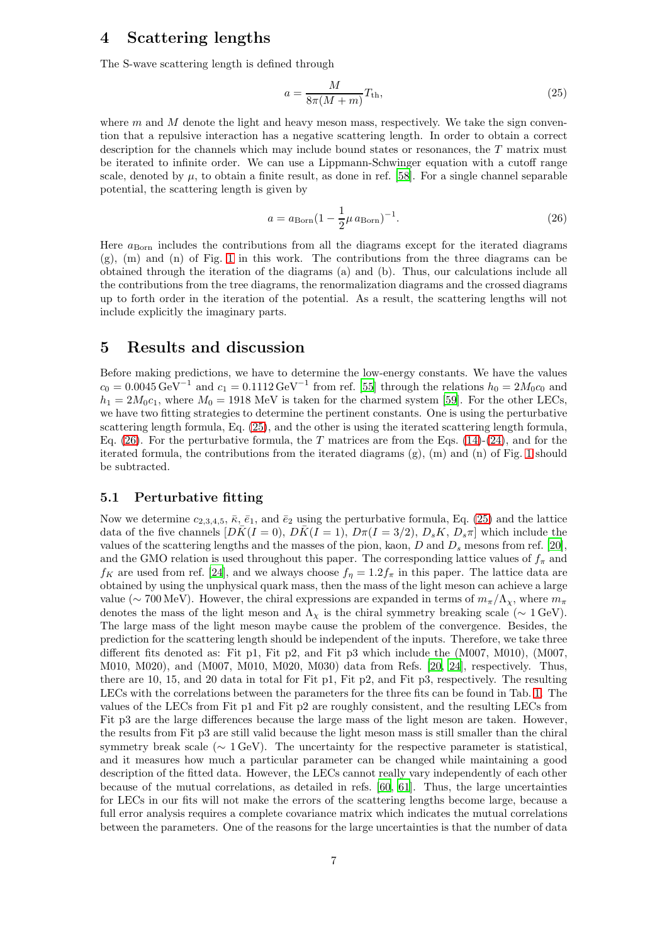## <span id="page-6-0"></span>4 Scattering lengths

The S-wave scattering length is defined through

<span id="page-6-2"></span>
$$
a = \frac{M}{8\pi (M+m)} T_{\text{th}},\tag{25}
$$

where  $m$  and  $M$  denote the light and heavy meson mass, respectively. We take the sign convention that a repulsive interaction has a negative scattering length. In order to obtain a correct description for the channels which may include bound states or resonances, the T matrix must be iterated to infinite order. We can use a Lippmann-Schwinger equation with a cutoff range scale, denoted by  $\mu$ , to obtain a finite result, as done in ref. [\[58](#page-20-5)]. For a single channel separable potential, the scattering length is given by

<span id="page-6-3"></span>
$$
a = a_{\text{Born}} (1 - \frac{1}{2} \mu a_{\text{Born}})^{-1}.
$$
 (26)

Here  $a_{\text{Born}}$  includes the contributions from all the diagrams except for the iterated diagrams (g), (m) and (n) of Fig. [1](#page-3-0) in this work. The contributions from the three diagrams can be obtained through the iteration of the diagrams (a) and (b). Thus, our calculations include all the contributions from the tree diagrams, the renormalization diagrams and the crossed diagrams up to forth order in the iteration of the potential. As a result, the scattering lengths will not include explicitly the imaginary parts.

## <span id="page-6-1"></span>5 Results and discussion

Before making predictions, we have to determine the low-energy constants. We have the values  $c_0 = 0.0045 \,\text{GeV}^{-1}$  and  $c_1 = 0.1112 \,\text{GeV}^{-1}$  from ref. [\[55](#page-20-2)] through the relations  $h_0 = 2M_0c_0$  and  $h_1 = 2M_0c_1$ , where  $M_0 = 1918$  MeV is taken for the charmed system [\[59\]](#page-20-6). For the other LECs, we have two fitting strategies to determine the pertinent constants. One is using the perturbative scattering length formula, Eq. [\(25\)](#page-6-2), and the other is using the iterated scattering length formula, Eq. [\(26\)](#page-6-3). For the perturbative formula, the T matrices are from the Eqs. [\(14\)](#page-4-0)-[\(24\)](#page-5-0), and for the iterated formula, the contributions from the iterated diagrams  $(g)$ ,  $(m)$  and  $(n)$  of Fig. [1](#page-3-0) should be subtracted.

#### 5.1 Perturbative fitting

Now we determine  $c_{2,3,4,5}$ ,  $\bar{\kappa}$ ,  $\bar{e}_1$ , and  $\bar{e}_2$  using the perturbative formula, Eq. [\(25\)](#page-6-2) and the lattice data of the five channels  $[D\bar{K}(I = 0), D\bar{K}(I = 1), D\pi(I = 3/2), D_sK, D_s\pi]$  which include the values of the scattering lengths and the masses of the pion, kaon,  $D$  and  $D_s$  mesons from ref. [\[20\]](#page-18-19), and the GMO relation is used throughout this paper. The corresponding lattice values of  $f_{\pi}$  and  $f_K$  are used from ref. [\[24\]](#page-18-23), and we always choose  $f_\eta = 1.2 f_\pi$  in this paper. The lattice data are obtained by using the unphysical quark mass, then the mass of the light meson can achieve a large value ( $\sim$  700 MeV). However, the chiral expressions are expanded in terms of  $m_\pi/\Lambda_\chi$ , where  $m_\pi$ denotes the mass of the light meson and  $\Lambda_{\chi}$  is the chiral symmetry breaking scale ( $\sim 1 \text{ GeV}$ ). The large mass of the light meson maybe cause the problem of the convergence. Besides, the prediction for the scattering length should be independent of the inputs. Therefore, we take three different fits denoted as: Fit p1, Fit p2, and Fit p3 which include the (M007, M010), (M007, M010, M020), and (M007, M010, M020, M030) data from Refs. [\[20,](#page-18-19) [24\]](#page-18-23), respectively. Thus, there are 10, 15, and 20 data in total for Fit p1, Fit p2, and Fit p3, respectively. The resulting LECs with the correlations between the parameters for the three fits can be found in Tab. [1.](#page-7-0) The values of the LECs from Fit p1 and Fit p2 are roughly consistent, and the resulting LECs from Fit p3 are the large differences because the large mass of the light meson are taken. However, the results from Fit p3 are still valid because the light meson mass is still smaller than the chiral symmetry break scale ( $\sim 1 \,\text{GeV}$ ). The uncertainty for the respective parameter is statistical, and it measures how much a particular parameter can be changed while maintaining a good description of the fitted data. However, the LECs cannot really vary independently of each other because of the mutual correlations, as detailed in refs. [\[60,](#page-20-7) [61\]](#page-20-8). Thus, the large uncertainties for LECs in our fits will not make the errors of the scattering lengths become large, because a full error analysis requires a complete covariance matrix which indicates the mutual correlations between the parameters. One of the reasons for the large uncertainties is that the number of data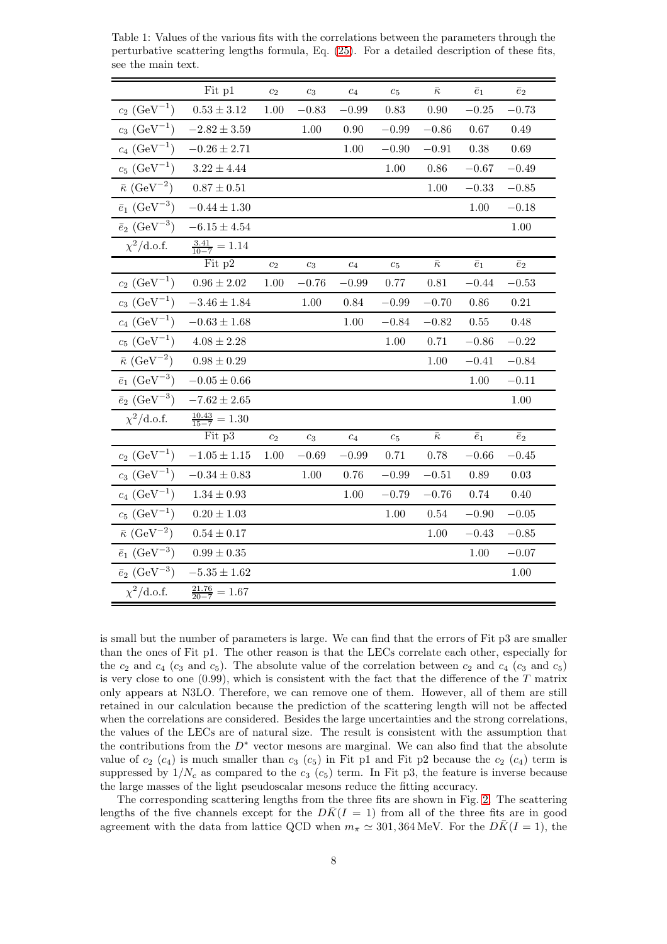|                                      | Fit p1                      | c <sub>2</sub>   | $c_3$            | $c_4$            | $c_5$              | $\bar{\kappa}$      | $\bar{e}_1$ | $\bar{e}_2$ |
|--------------------------------------|-----------------------------|------------------|------------------|------------------|--------------------|---------------------|-------------|-------------|
| $c_2 \, (\text{GeV}^{-1})$           | $0.53 \pm 3.12$             | $1.00\,$         | $-0.83$          | $-0.99$          | $\rm 0.83$         | $0.90\,$            | $-0.25$     | $-0.73$     |
| $c_3$ (GeV <sup>-1</sup> )           | $-2.82\pm3.59$              |                  | 1.00             | 0.90             | $-0.99$            | $-0.86$             | 0.67        | 0.49        |
| $c_4 \, (\text{GeV}^{-1})$           | $-0.26 \pm 2.71$            |                  |                  | 1.00             | $-0.90$            | $-0.91$             | 0.38        | 0.69        |
| $c_5~(\mathrm{GeV}^{-1})$            | $3.22 \pm 4.44$             |                  |                  |                  | 1.00               | 0.86                | $-0.67$     | $-0.49$     |
| $\bar{\kappa}$ (GeV <sup>-2</sup> )  | $0.87 \pm 0.51$             |                  |                  |                  |                    | $1.00\,$            | $-0.33$     | $-0.85$     |
| $\bar{e}_1~(\mathrm{GeV}^{-3})$      | $-0.44\pm1.30$              |                  |                  |                  |                    |                     | 1.00        | $-0.18$     |
| $\bar{e}_2\ (\mathrm{GeV}^{-3})$     | $-6.15\pm4.54$              |                  |                  |                  |                    |                     |             | 1.00        |
| $\chi^2/\text{d.o.f.}$               | $\frac{3.41}{10-7} = 1.14$  |                  |                  |                  |                    |                     |             |             |
|                                      | Fit p2                      | $\overline{c_2}$ | $c_3$            | $\overline{c_4}$ | $c_5$              | $\overline{\kappa}$ | $\bar{e}_1$ | $\bar{e}_2$ |
| $c_2$ (GeV <sup>-1</sup> )           | $0.96\pm2.02$               | 1.00             | $-0.76$          | $-0.99$          | 0.77               | 0.81                | $-0.44$     | $-0.53$     |
| $c_3$ (GeV <sup>-1</sup> )           | $-3.46\pm1.84$              |                  | 1.00             | 0.84             | $-0.99$            | $-0.70$             | 0.86        | 0.21        |
| $c_4$ (GeV <sup>-1</sup> )           | $-0.63 \pm 1.68$            |                  |                  | 1.00             | $-0.84$            | $-0.82$             | 0.55        | 0.48        |
| $c_5 \ (\text{GeV}^{-1})$            | $4.08 \pm 2.28$             |                  |                  |                  | 1.00               | 0.71                | $-0.86$     | $-0.22$     |
| $\bar{\kappa}$ (GeV <sup>-2</sup> )  | $0.98 \pm 0.29$             |                  |                  |                  |                    | 1.00                | $-0.41$     | $-0.84$     |
| $\bar{e}_1 \ (\text{GeV}^{-3})$      | $-0.05 \pm 0.66$            |                  |                  |                  |                    |                     | 1.00        | $-0.11$     |
| $\bar{e}_2$ (GeV <sup>-3</sup> )     | $-7.62\pm2.65$              |                  |                  |                  |                    |                     |             | 1.00        |
| $\chi^2/\text{d.o.f.}$               | $\frac{10.43}{15-7} = 1.30$ |                  |                  |                  |                    |                     |             |             |
|                                      | Fit p3                      | $\mathfrak{c}_2$ | $\mathfrak{c}_3$ | $\overline{c_4}$ | $\boldsymbol{c}_5$ | $\bar{\kappa}$      | $\bar{e}_1$ | $\bar{e}_2$ |
| $c_2$ (GeV <sup>-1</sup> )           | $-1.05\pm1.15$              | 1.00             | $-0.69$          | $-0.99$          | 0.71               | 0.78                | $-0.66$     | $-0.45$     |
| $c_3 \, (\text{GeV}^{-1})$           | $-0.34\pm0.83$              |                  | 1.00             | 0.76             | $-0.99\,$          | $-0.51$             | 0.89        | 0.03        |
| $c_4$ (GeV <sup>-1</sup> )           | $1.34 \pm 0.93$             |                  |                  | 1.00             | $-0.79$            | $-0.76$             | 0.74        | 0.40        |
| $c_5~(\mathrm{GeV}^{-1})$            | $0.20\pm1.03$               |                  |                  |                  | 1.00               | $0.54\,$            | $-0.90$     | $-0.05$     |
| $\bar{\kappa} \ (\mathrm{GeV}^{-2})$ | $0.54 \pm 0.17$             |                  |                  |                  |                    | 1.00                | $-0.43$     | $-0.85$     |
| $\bar{e}_1 \ (\text{GeV}^{-3})$      | $0.99\pm0.35$               |                  |                  |                  |                    |                     | 1.00        | $-0.07$     |
| $\bar{e}_2$ (GeV <sup>-3</sup> )     | $-5.35\pm1.62$              |                  |                  |                  |                    |                     |             | 1.00        |
| $\chi^2/\text{d.o.f.}$               | $\frac{21.76}{20-7} = 1.67$ |                  |                  |                  |                    |                     |             |             |

<span id="page-7-0"></span>Table 1: Values of the various fits with the correlations between the parameters through the perturbative scattering lengths formula, Eq. [\(25\)](#page-6-2). For a detailed description of these fits, see the main text.

is small but the number of parameters is large. We can find that the errors of Fit p3 are smaller than the ones of Fit p1. The other reason is that the LECs correlate each other, especially for the  $c_2$  and  $c_4$  ( $c_3$  and  $c_5$ ). The absolute value of the correlation between  $c_2$  and  $c_4$  ( $c_3$  and  $c_5$ ) is very close to one  $(0.99)$ , which is consistent with the fact that the difference of the T matrix only appears at N3LO. Therefore, we can remove one of them. However, all of them are still retained in our calculation because the prediction of the scattering length will not be affected when the correlations are considered. Besides the large uncertainties and the strong correlations, the values of the LECs are of natural size. The result is consistent with the assumption that the contributions from the  $D^*$  vector mesons are marginal. We can also find that the absolute value of  $c_2$  (c<sub>4</sub>) is much smaller than  $c_3$  (c<sub>5</sub>) in Fit p1 and Fit p2 because the  $c_2$  (c<sub>4</sub>) term is suppressed by  $1/N_c$  as compared to the  $c_3$  ( $c_5$ ) term. In Fit p3, the feature is inverse because the large masses of the light pseudoscalar mesons reduce the fitting accuracy.

The corresponding scattering lengths from the three fits are shown in Fig. [2.](#page-8-0) The scattering lengths of the five channels except for the  $D\bar{K}(I = 1)$  from all of the three fits are in good agreement with the data from lattice QCD when  $m_{\pi} \simeq 301,364 \,\text{MeV}$ . For the  $D\bar{K}(I=1)$ , the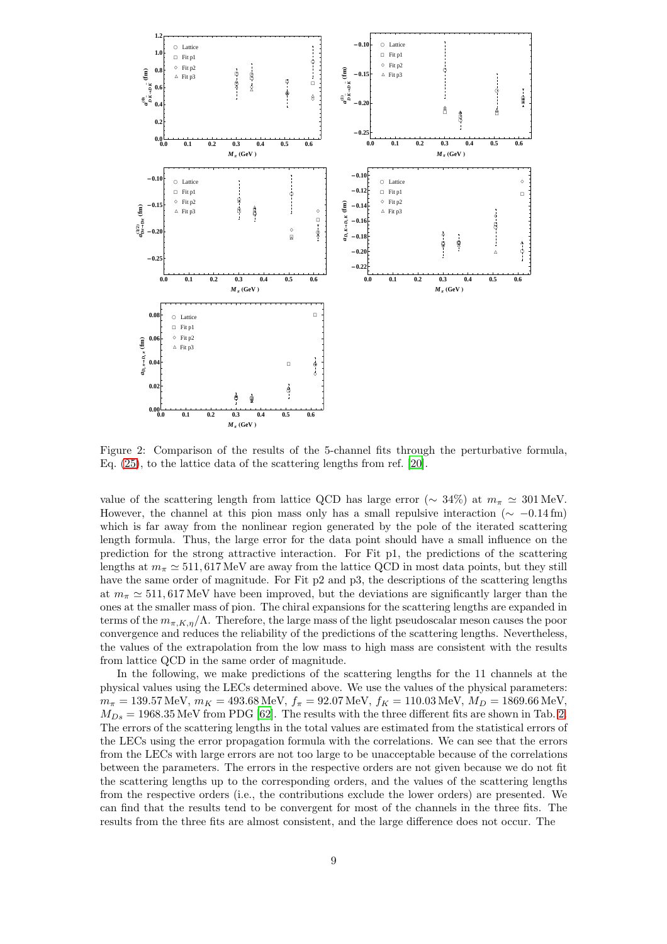

<span id="page-8-0"></span>Figure 2: Comparison of the results of the 5-channel fits through the perturbative formula, Eq. [\(25\)](#page-6-2), to the lattice data of the scattering lengths from ref. [\[20](#page-18-19)].

value of the scattering length from lattice QCD has large error ( $\sim 34\%$ ) at  $m_{\pi} \simeq 301$  MeV. However, the channel at this pion mass only has a small repulsive interaction ( $\sim -0.14$  fm) which is far away from the nonlinear region generated by the pole of the iterated scattering length formula. Thus, the large error for the data point should have a small influence on the prediction for the strong attractive interaction. For Fit p1, the predictions of the scattering lengths at  $m_{\pi} \simeq 511,617 \,\text{MeV}$  are away from the lattice QCD in most data points, but they still have the same order of magnitude. For Fit p2 and p3, the descriptions of the scattering lengths at  $m_{\pi} \simeq 511,617 \text{ MeV}$  have been improved, but the deviations are significantly larger than the ones at the smaller mass of pion. The chiral expansions for the scattering lengths are expanded in terms of the  $m_{\pi,K,n}/\Lambda$ . Therefore, the large mass of the light pseudoscalar meson causes the poor convergence and reduces the reliability of the predictions of the scattering lengths. Nevertheless, the values of the extrapolation from the low mass to high mass are consistent with the results from lattice QCD in the same order of magnitude.

In the following, we make predictions of the scattering lengths for the 11 channels at the physical values using the LECs determined above. We use the values of the physical parameters:  $m_{\pi} = 139.57 \,\text{MeV}, m_K = 493.68 \,\text{MeV}, f_{\pi} = 92.07 \,\text{MeV}, f_K = 110.03 \,\text{MeV}, M_D = 1869.66 \,\text{MeV},$  $M_{Ds} = 1968.35 \text{ MeV from PDG [62].}$  $M_{Ds} = 1968.35 \text{ MeV from PDG [62].}$  $M_{Ds} = 1968.35 \text{ MeV from PDG [62].}$  The results with the three different fits are shown in Tab. [2.](#page-9-0) The errors of the scattering lengths in the total values are estimated from the statistical errors of the LECs using the error propagation formula with the correlations. We can see that the errors from the LECs with large errors are not too large to be unacceptable because of the correlations between the parameters. The errors in the respective orders are not given because we do not fit the scattering lengths up to the corresponding orders, and the values of the scattering lengths from the respective orders (i.e., the contributions exclude the lower orders) are presented. We can find that the results tend to be convergent for most of the channels in the three fits. The results from the three fits are almost consistent, and the large difference does not occur. The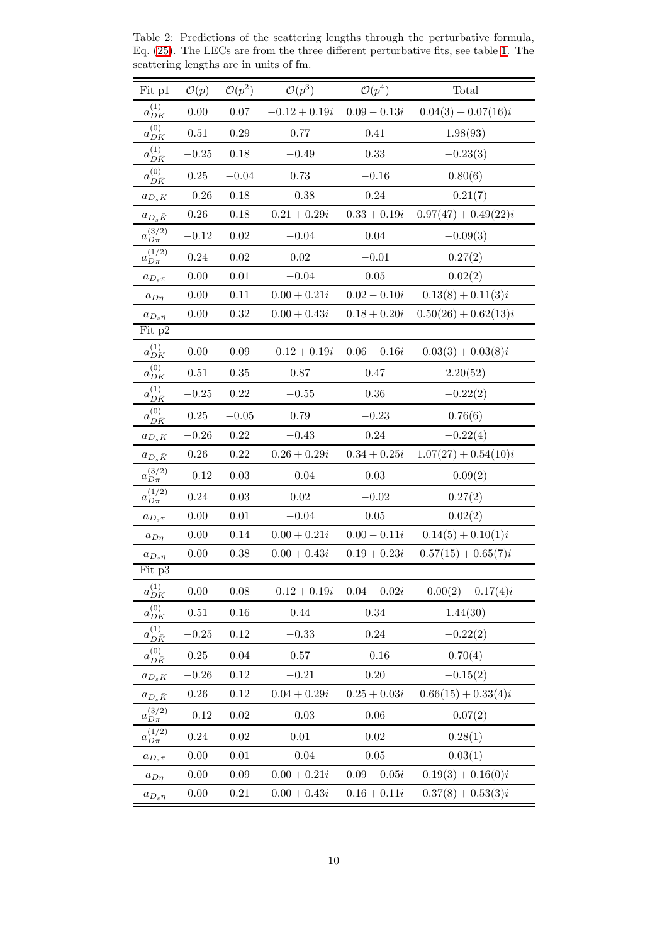| Fit p1                      | $\mathcal{O}(p)$ | $\mathcal{O}(p^2)$ | $\mathcal{O}(p^3)$ | $\mathcal{O}(p^4)$ | Total                  |
|-----------------------------|------------------|--------------------|--------------------|--------------------|------------------------|
| $a_{DK}^{\left( 1\right) }$ | 0.00             | 0.07               | $-0.12 + 0.19i$    | $0.09 - 0.13i$     | $0.04(3) + 0.07(16)i$  |
| $a_{DK}^{(0)}$              | 0.51             | 0.29               | 0.77               | 0.41               | 1.98(93)               |
| $a^{(1)}_{D\bar K}$         | $-0.25$          | 0.18               | $-0.49$            | 0.33               | $-0.23(3)$             |
| $a_{D\bar K}^{(0)}$         | 0.25             | $-0.04$            | 0.73               | $-0.16$            | 0.80(6)                |
| $a_{D_sK}$                  | $-0.26$          | 0.18               | $-0.38$            | 0.24               | $-0.21(7)$             |
| $a_{D_s\bar K}$             | 0.26             | 0.18               | $0.21 + 0.29i$     | $0.33 + 0.19i$     | $0.97(47) + 0.49(22)i$ |
| $a_{D\pi}^{(3/2)}$          | $-0.12$          | 0.02               | $-0.04$            | 0.04               | $-0.09(3)$             |
| $a_{D\pi}^{(1/2)}$          | 0.24             | $0.02\,$           | $0.02\,$           | $-0.01$            | 0.27(2)                |
| $a_{D_s \pi}$               | 0.00             | $0.01\,$           | $-0.04$            | 0.05               | 0.02(2)                |
| $a_{Dn}$                    | 0.00             | 0.11               | $0.00 + 0.21i$     | $0.02 - 0.10i$     | $0.13(8) + 0.11(3)i$   |
| $a_{D_s\eta}$               | 0.00             | 0.32               | $0.00 + 0.43i$     | $0.18 + 0.20i$     | $0.50(26) + 0.62(13)i$ |
| Fit p2                      |                  |                    |                    |                    |                        |
| $a_{DK}^{(1)}$              | 0.00             | 0.09               | $-0.12 + 0.19i$    | $0.06 - 0.16i$     | $0.03(3) + 0.03(8)i$   |
| $a_{DK}^{(0)}$              | 0.51             | 0.35               | 0.87               | 0.47               | 2.20(52)               |
| $a^{(1)}_{D\bar K}$         | $-0.25$          | 0.22               | $-0.55$            | 0.36               | $-0.22(2)$             |
| $a_{D\bar K}^{(0)}$         | 0.25             | $-0.05$            | 0.79               | $-0.23$            | 0.76(6)                |
| $a_{D_sK}$                  | $-0.26$          | 0.22               | $-0.43$            | 0.24               | $-0.22(4)$             |
| $a_{D_s\bar K}$             | 0.26             | 0.22               | $0.26 + 0.29i$     | $0.34 + 0.25i$     | $1.07(27) + 0.54(10)i$ |
| $a_{D\pi}^{(3/2)}$          | $-0.12$          | 0.03               | $-0.04$            | 0.03               | $-0.09(2)$             |
| $a_{D\pi}^{(1/2)}$          | $0.24\,$         | 0.03               | $0.02\,$           | $-0.02$            | 0.27(2)                |
| $a_{D_s \pi}$               | 0.00             | 0.01               | $-0.04$            | 0.05               | 0.02(2)                |
| $a_{D\eta}$                 | 0.00             | 0.14               | $0.00 + 0.21i$     | $0.00 - 0.11i$     | $0.14(5) + 0.10(1)i$   |
| $a_{D_s\eta}$               | 0.00             | 0.38               | $0.00 + 0.43i$     | $0.19 + 0.23i$     | $0.57(15) + 0.65(7)i$  |
| Fit p3                      |                  |                    |                    |                    |                        |
| $a_{DK}^{(1)}$              | 0.00             | 0.08               | $-0.12 + 0.19i$    | $0.04 - 0.02i$     | $-0.00(2) + 0.17(4)i$  |
| $a_{DK}^{(0)}$              | 0.51             | $0.16\,$           | 0.44               | 0.34               | 1.44(30)               |
| $a_{D\bar K}^{(1)}$         | $-0.25$          | 0.12               | $-0.33$            | 0.24               | $-0.22(2)$             |
| $a_{D\bar K}^{(0)}$         | 0.25             | $0.04\,$           | $0.57\,$           | $-0.16$            | 0.70(4)                |
| $a_{D_sK}$                  | $-0.26$          | 0.12               | $-0.21$            | 0.20               | $-0.15(2)$             |
| $a_{D_s\bar K}$             | $0.26\,$         | 0.12               | $0.04 + 0.29i$     | $0.25 + 0.03i$     | $0.66(15) + 0.33(4)i$  |
| $a_{D\pi}^{(3/2)}$          | $-0.12$          | $0.02\,$           | $-0.03$            | $0.06\,$           | $-0.07(2)$             |
| $a_{D\pi}^{(1/2)}$          | 0.24             | 0.02               | 0.01               | 0.02               | 0.28(1)                |
| $a_{D_s \pi}$               | 0.00             | $0.01\,$           | $-0.04$            | 0.05               | 0.03(1)                |
| $a_{D\eta}$                 | 0.00             | 0.09               | $0.00 + 0.21i$     | $0.09 - 0.05i$     | $0.19(3) + 0.16(0)i$   |
| $a_{D_s\eta}$               | 0.00             | $0.21\,$           | $0.00 + 0.43i$     | $0.16 + 0.11i$     | $0.37(8) + 0.53(3)i$   |

<span id="page-9-0"></span>Table 2: Predictions of the scattering lengths through the perturbative formula, Eq. [\(25\)](#page-6-2). The LECs are from the three different perturbative fits, see table [1.](#page-7-0) The scattering lengths are in units of fm.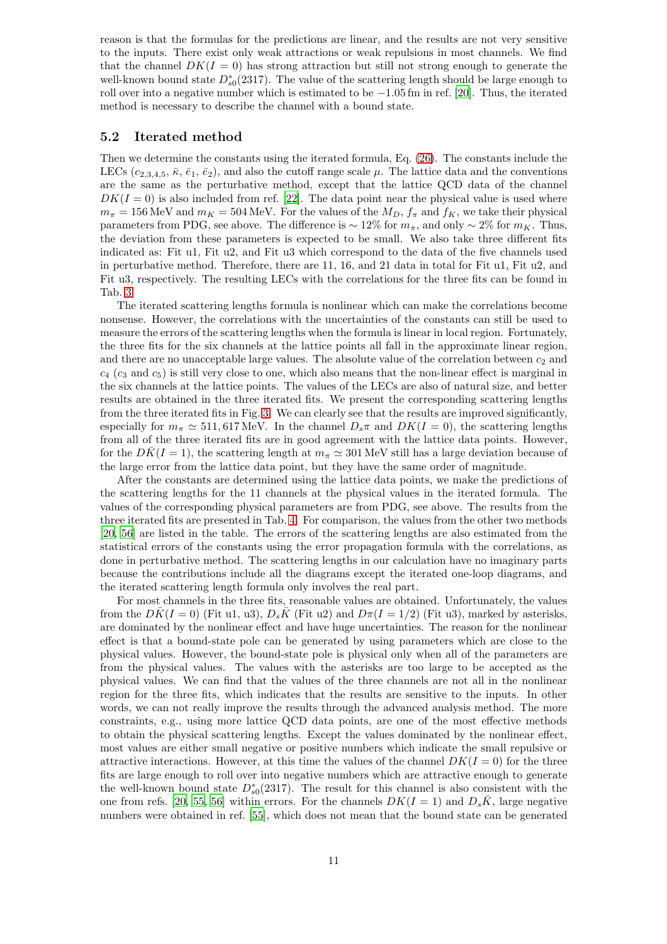reason is that the formulas for the predictions are linear, and the results are not very sensitive to the inputs. There exist only weak attractions or weak repulsions in most channels. We find that the channel  $DK(I = 0)$  has strong attraction but still not strong enough to generate the well-known bound state  $D_{s0}^*(2317)$ . The value of the scattering length should be large enough to roll over into a negative number which is estimated to be  $-1.05$  fm in ref. [\[20](#page-18-19)]. Thus, the iterated method is necessary to describe the channel with a bound state.

#### 5.2 Iterated method

Then we determine the constants using the iterated formula, Eq. [\(26\)](#page-6-3). The constants include the LECs  $(c_{2,3,4,5}, \bar{\kappa}, \bar{e}_1, \bar{e}_2)$ , and also the cutoff range scale  $\mu$ . The lattice data and the conventions are the same as the perturbative method, except that the lattice QCD data of the channel  $DK(I = 0)$  is also included from ref. [\[22](#page-18-21)]. The data point near the physical value is used where  $m_{\pi} = 156 \text{ MeV}$  and  $m_K = 504 \text{ MeV}$ . For the values of the  $M_D$ ,  $f_{\pi}$  and  $f_K$ , we take their physical parameters from PDG, see above. The difference is  $\sim 12\%$  for  $m_{\pi}$ , and only  $\sim 2\%$  for  $m_K$ . Thus, the deviation from these parameters is expected to be small. We also take three different fits indicated as: Fit u1, Fit u2, and Fit u3 which correspond to the data of the five channels used in perturbative method. Therefore, there are 11, 16, and 21 data in total for Fit u1, Fit u2, and Fit u3, respectively. The resulting LECs with the correlations for the three fits can be found in Tab. [3.](#page-11-0)

The iterated scattering lengths formula is nonlinear which can make the correlations become nonsense. However, the correlations with the uncertainties of the constants can still be used to measure the errors of the scattering lengths when the formula is linear in local region. Fortunately, the three fits for the six channels at the lattice points all fall in the approximate linear region, and there are no unacceptable large values. The absolute value of the correlation between  $c_2$  and  $c_4$  (c<sub>3</sub> and  $c_5$ ) is still very close to one, which also means that the non-linear effect is marginal in the six channels at the lattice points. The values of the LECs are also of natural size, and better results are obtained in the three iterated fits. We present the corresponding scattering lengths from the three iterated fits in Fig. [3.](#page-12-0) We can clearly see that the results are improved significantly, especially for  $m_{\pi} \simeq 511,617 \text{ MeV}$ . In the channel  $D_s \pi$  and  $DK(I = 0)$ , the scattering lengths from all of the three iterated fits are in good agreement with the lattice data points. However, for the  $D\bar{K}(I = 1)$ , the scattering length at  $m_{\pi} \simeq 301 \,\text{MeV}$  still has a large deviation because of the large error from the lattice data point, but they have the same order of magnitude.

After the constants are determined using the lattice data points, we make the predictions of the scattering lengths for the 11 channels at the physical values in the iterated formula. The values of the corresponding physical parameters are from PDG, see above. The results from the three iterated fits are presented in Tab. [4.](#page-12-1) For comparison, the values from the other two methods [\[20,](#page-18-19) [56](#page-20-3)] are listed in the table. The errors of the scattering lengths are also estimated from the statistical errors of the constants using the error propagation formula with the correlations, as done in perturbative method. The scattering lengths in our calculation have no imaginary parts because the contributions include all the diagrams except the iterated one-loop diagrams, and the iterated scattering length formula only involves the real part.

For most channels in the three fits, reasonable values are obtained. Unfortunately, the values from the  $D\bar{K}(I=0)$  (Fit u1, u3),  $D_s\bar{K}$  (Fit u2) and  $D\pi(I=1/2)$  (Fit u3), marked by asterisks, are dominated by the nonlinear effect and have huge uncertainties. The reason for the nonlinear effect is that a bound-state pole can be generated by using parameters which are close to the physical values. However, the bound-state pole is physical only when all of the parameters are from the physical values. The values with the asterisks are too large to be accepted as the physical values. We can find that the values of the three channels are not all in the nonlinear region for the three fits, which indicates that the results are sensitive to the inputs. In other words, we can not really improve the results through the advanced analysis method. The more constraints, e.g., using more lattice QCD data points, are one of the most effective methods to obtain the physical scattering lengths. Except the values dominated by the nonlinear effect, most values are either small negative or positive numbers which indicate the small repulsive or attractive interactions. However, at this time the values of the channel  $DK(I = 0)$  for the three fits are large enough to roll over into negative numbers which are attractive enough to generate the well-known bound state  $D_{s0}^*(2317)$ . The result for this channel is also consistent with the one from refs. [\[20,](#page-18-19) [55](#page-20-2), [56](#page-20-3)] within errors. For the channels  $DK(I = 1)$  and  $D_s\overline{K}$ , large negative numbers were obtained in ref. [\[55\]](#page-20-2), which does not mean that the bound state can be generated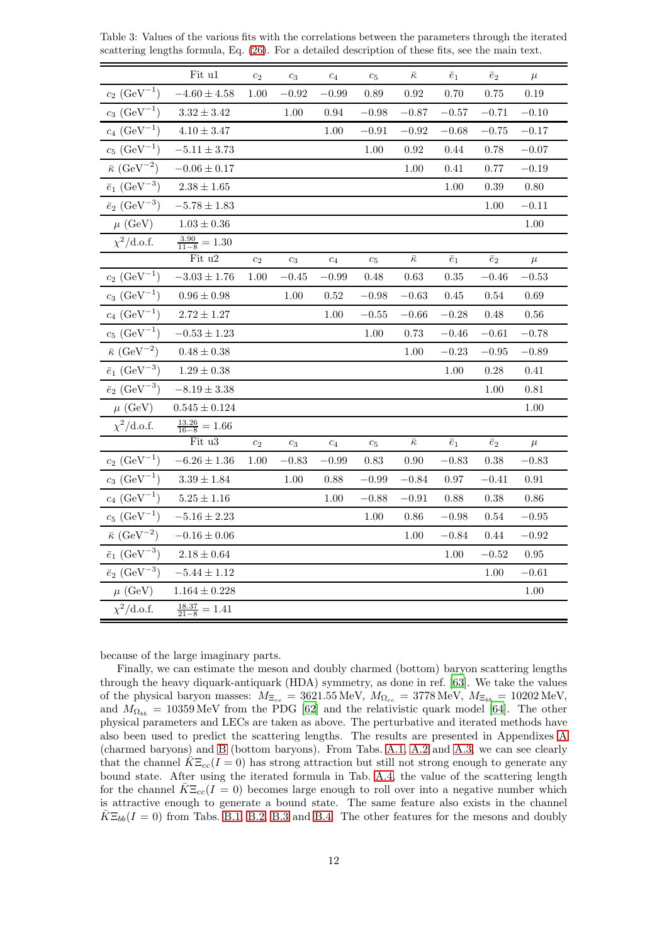|                                     | Fit u1                      | c <sub>2</sub> | $c_3$   | $c_4$     | $c_5$          | $\bar{\kappa}$ | $\bar{e}_1$ | $\bar{e}_2$ | $\mu$     |
|-------------------------------------|-----------------------------|----------------|---------|-----------|----------------|----------------|-------------|-------------|-----------|
| $c_2$ (GeV <sup>-1</sup> )          | $-4.60\pm4.58$              | 1.00           | $-0.92$ | $-0.99$   | 0.89           | 0.92           | 0.70        | 0.75        | 0.19      |
| $c_3$ (GeV <sup>-1</sup> )          | $3.32 \pm 3.42$             |                | 1.00    | 0.94      | $-0.98$        | $-0.87\,$      | $-0.57$     | $-0.71$     | $-0.10$   |
| $c_4$ (GeV <sup>-1</sup> )          | $4.10\pm3.47$               |                |         | 1.00      | $-0.91$        | $-0.92$        | $-0.68$     | $-0.75$     | $-0.17$   |
| $c_5$ $(\text{GeV}^{-1})$           | $-5.11 \pm 3.73$            |                |         |           | 1.00           | 0.92           | 0.44        | 0.78        | $-0.07$   |
| $\bar{\kappa}$ (GeV <sup>-2</sup> ) | $-0.06 \pm 0.17$            |                |         |           |                | $1.00\,$       | 0.41        | 0.77        | $-0.19$   |
| $\bar{e}_1$ (GeV <sup>-3</sup> )    | $2.38\pm1.65$               |                |         |           |                |                | 1.00        | 0.39        | 0.80      |
| $\bar{e}_2$ (GeV <sup>-3</sup> )    | $-5.78\pm1.83$              |                |         |           |                |                |             | 1.00        | $-0.11$   |
| $\mu$ (GeV)                         | $1.03 \pm 0.36$             |                |         |           |                |                |             |             | 1.00      |
| $\chi^2/\text{d.o.f.}$              | $\frac{3.90}{11-8} = 1.30$  |                |         |           |                |                |             |             |           |
|                                     | Fit u2                      | c <sub>2</sub> | $c_3$   | $c_4$     | c <sub>5</sub> | $\bar{\kappa}$ | $\bar{e}_1$ | $\bar{e}_2$ | $\mu$     |
| $c_2$ (GeV <sup>-1</sup> )          | $-3.03\pm1.76$              | 1.00           | $-0.45$ | $-0.99\,$ | $0.48\,$       | $0.63\,$       | 0.35        | $-0.46$     | $-0.53$   |
| $c_3$ (GeV <sup>-1</sup> )          | $0.96 \pm 0.98$             |                | 1.00    | 0.52      | $-0.98$        | $-0.63$        | 0.45        | 0.54        | 0.69      |
| $c_4$ (GeV <sup>-1</sup> )          | $2.72\pm1.27$               |                |         | 1.00      | $-0.55$        | $-0.66$        | $-0.28$     | 0.48        | 0.56      |
| $c_5$ (GeV <sup>-1</sup> )          | $-0.53 \pm 1.23$            |                |         |           | 1.00           | 0.73           | $-0.46$     | $-0.61$     | $-0.78$   |
| $\bar{\kappa}$ (GeV <sup>-2</sup> ) | $0.48 \pm 0.38$             |                |         |           |                | 1.00           | $-0.23$     | $-0.95$     | $-0.89$   |
| $\bar{e}_1$ (GeV <sup>-3</sup> )    | $1.29 \pm 0.38$             |                |         |           |                |                | 1.00        | $0.28\,$    | 0.41      |
| $\bar{e}_2$ (GeV <sup>-3</sup> )    | $-8.19 \pm 3.38$            |                |         |           |                |                |             | 1.00        | 0.81      |
| $\mu$ (GeV)                         | $0.545 \pm 0.124$           |                |         |           |                |                |             |             | 1.00      |
| $\chi^2/\text{d.o.f.}$              | $\frac{13.26}{16-8} = 1.66$ |                |         |           |                |                |             |             |           |
|                                     | Fit u3                      | c <sub>2</sub> | $c_3$   | $c_4$     | $c_5$          | $\bar{\kappa}$ | $\bar{e}_1$ | $\bar{e}_2$ | $\mu$     |
| $c_2$ (GeV <sup>-1</sup> )          | $-6.26\pm1.36$              | 1.00           | $-0.83$ | $-0.99$   | 0.83           | 0.90           | $-0.83$     | 0.38        | $-0.83$   |
| $c_3 \, (\text{GeV}^{-1})$          | $3.39\pm1.84$               |                | 1.00    | 0.88      | $-0.99$        | $-0.84$        | 0.97        | $-0.41$     | 0.91      |
| $c_4$ (GeV <sup>-1</sup> )          | $5.25\pm1.16$               |                |         | 1.00      | $-0.88$        | $-0.91$        | 0.88        | 0.38        | 0.86      |
| $c_5$ $(\text{GeV}^{-1})$           | $-5.16 \pm 2.23$            |                |         |           | 1.00           | 0.86           | $-0.98$     | 0.54        | $-0.95\,$ |
| $\bar{\kappa}$ (GeV <sup>-2</sup> ) | $-0.16 \pm 0.06$            |                |         |           |                | 1.00           | $-0.84$     | 0.44        | $-0.92$   |
| $\bar{e}_1$ (GeV <sup>-3</sup> )    | $2.18 \pm 0.64$             |                |         |           |                |                | 1.00        | $-0.52\,$   | 0.95      |
| $\bar{e}_2$ (GeV <sup>-3</sup> )    | $-5.44 \pm 1.12$            |                |         |           |                |                |             | 1.00        | $-0.61$   |
| $\mu$ (GeV)                         | $1.164\pm0.228$             |                |         |           |                |                |             |             | 1.00      |
| $\chi^2/\text{d.o.f.}$              | $\frac{18.37}{21-8} = 1.41$ |                |         |           |                |                |             |             |           |

<span id="page-11-0"></span>Table 3: Values of the various fits with the correlations between the parameters through the iterated scattering lengths formula, Eq. [\(26\)](#page-6-3). For a detailed description of these fits, see the main text.

because of the large imaginary parts.

Finally, we can estimate the meson and doubly charmed (bottom) baryon scattering lengths through the heavy diquark-antiquark (HDA) symmetry, as done in ref. [\[63\]](#page-20-10). We take the values of the physical baryon masses:  $M_{\Xi_{cc}} = 3621.55 \,\text{MeV}$ ,  $M_{\Omega_{cc}} = 3778 \,\text{MeV}$ ,  $M_{\Xi_{bb}} = 10202 \,\text{MeV}$ , and  $M_{\Omega_{bb}} = 10359 \,\text{MeV}$  from the PDG [\[62\]](#page-20-9) and the relativistic quark model [\[64](#page-20-11)]. The other physical parameters and LECs are taken as above. The perturbative and iterated methods have also been used to predict the scattering lengths. The results are presented in Appendixes [A](#page-14-0) (charmed baryons) and [B](#page-16-0) (bottom baryons). From Tabs. [A.1,](#page-14-1) [A.2](#page-14-2) and [A.3,](#page-15-0) we can see clearly that the channel  $K\Xi_{cc}(I=0)$  has strong attraction but still not strong enough to generate any bound state. After using the iterated formula in Tab. [A.4,](#page-15-1) the value of the scattering length for the channel  $\bar{K}\Xi_{cc}(I=0)$  becomes large enough to roll over into a negative number which is attractive enough to generate a bound state. The same feature also exists in the channel  $\bar{K} \Xi_{bb}(I = 0)$  from Tabs. [B.1,](#page-16-1) [B.2,](#page-16-2) [B.3](#page-17-0) and [B.4.](#page-17-1) The other features for the mesons and doubly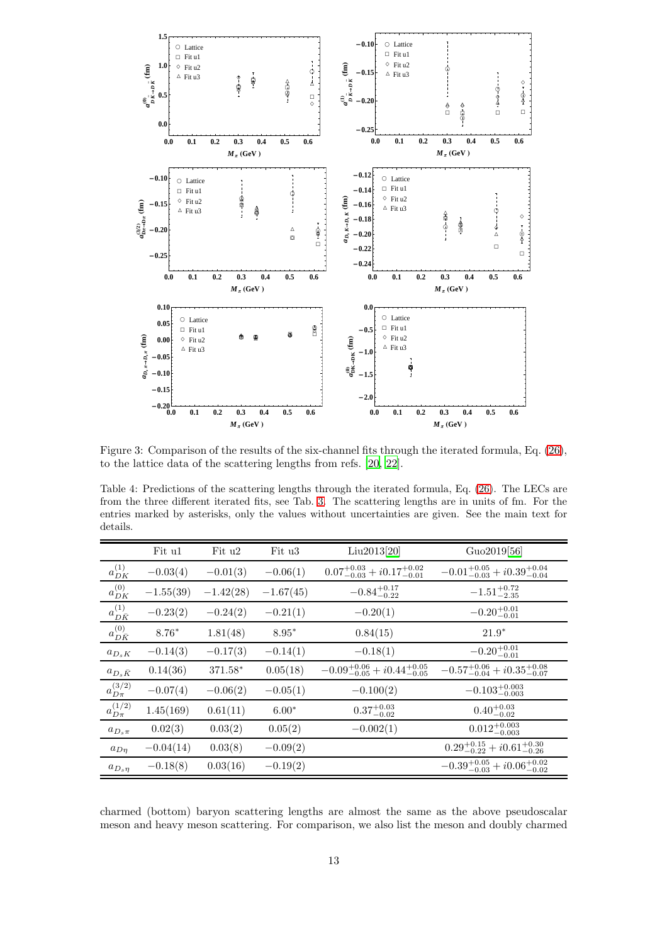

<span id="page-12-0"></span>Figure 3: Comparison of the results of the six-channel fits through the iterated formula, Eq. [\(26\)](#page-6-3), to the lattice data of the scattering lengths from refs. [\[20](#page-18-19), [22](#page-18-21)].

<span id="page-12-1"></span>Table 4: Predictions of the scattering lengths through the iterated formula, Eq. [\(26\)](#page-6-3). The LECs are from the three different iterated fits, see Tab. [3.](#page-11-0) The scattering lengths are in units of fm. For the entries marked by asterisks, only the values without uncertainties are given. See the main text for details.

|                       | Fit $u1$    | Fit u2      | Fit u3      | Liu2013[20]                                     | Guo2019[56]                                     |
|-----------------------|-------------|-------------|-------------|-------------------------------------------------|-------------------------------------------------|
| $a_{DK}^{(1)}$        | $-0.03(4)$  | $-0.01(3)$  | $-0.06(1)$  | $0.07^{+0.03}_{-0.03} + i0.17^{+0.02}_{-0.01}$  | $-0.01^{+0.05}_{-0.03} + i0.39^{+0.04}_{-0.04}$ |
| $a_{DK}^{(0)}$        | $-1.55(39)$ | $-1.42(28)$ | $-1.67(45)$ | $-0.84^{+0.17}_{-0.22}$                         | $-1.51^{+0.72}_{-2.35}$                         |
| $a^{(1)}_{D\bar K}$   | $-0.23(2)$  | $-0.24(2)$  | $-0.21(1)$  | $-0.20(1)$                                      | $-0.20^{+0.01}_{-0.01}$                         |
| $a_{D\bar K}^{(0)}$   | $8.76*$     | 1.81(48)    | $8.95*$     | 0.84(15)                                        | $21.9*$                                         |
| $a_{D_sK}$            | $-0.14(3)$  | $-0.17(3)$  | $-0.14(1)$  | $-0.18(1)$                                      | $-0.20^{+0.01}_{-0.01}$                         |
| $a_{D_s\bar{K}}$      | 0.14(36)    | 371.58*     | 0.05(18)    | $-0.09_{-0.05}^{+0.06} + i0.44_{-0.05}^{+0.05}$ | $-0.57^{+0.06}_{-0.04} + i0.35^{+0.08}_{-0.07}$ |
| $a_{D_{\pi}}^{(3/2)}$ | $-0.07(4)$  | $-0.06(2)$  | $-0.05(1)$  | $-0.100(2)$                                     | $-0.103_{-0.003}^{+0.003}$                      |
| $a_{D_{\pi}}^{(1/2)}$ | 1.45(169)   | 0.61(11)    | $6.00*$     | $0.37^{+0.03}_{-0.02}$                          | $0.40^{+0.03}_{-0.02}$                          |
| $a_{D_s\pi}$          | 0.02(3)     | 0.03(2)     | 0.05(2)     | $-0.002(1)$                                     | $0.012^{+0.003}_{-0.003}$                       |
| $a_{Dn}$              | $-0.04(14)$ | 0.03(8)     | $-0.09(2)$  |                                                 | $0.29_{-0.22}^{+0.15} + i0.61_{-0.26}^{+0.30}$  |
| $a_{D_s\eta}$         | $-0.18(8)$  | 0.03(16)    | $-0.19(2)$  |                                                 | $-0.39_{-0.03}^{+0.05} + i0.06_{-0.02}^{+0.02}$ |

charmed (bottom) baryon scattering lengths are almost the same as the above pseudoscalar meson and heavy meson scattering. For comparison, we also list the meson and doubly charmed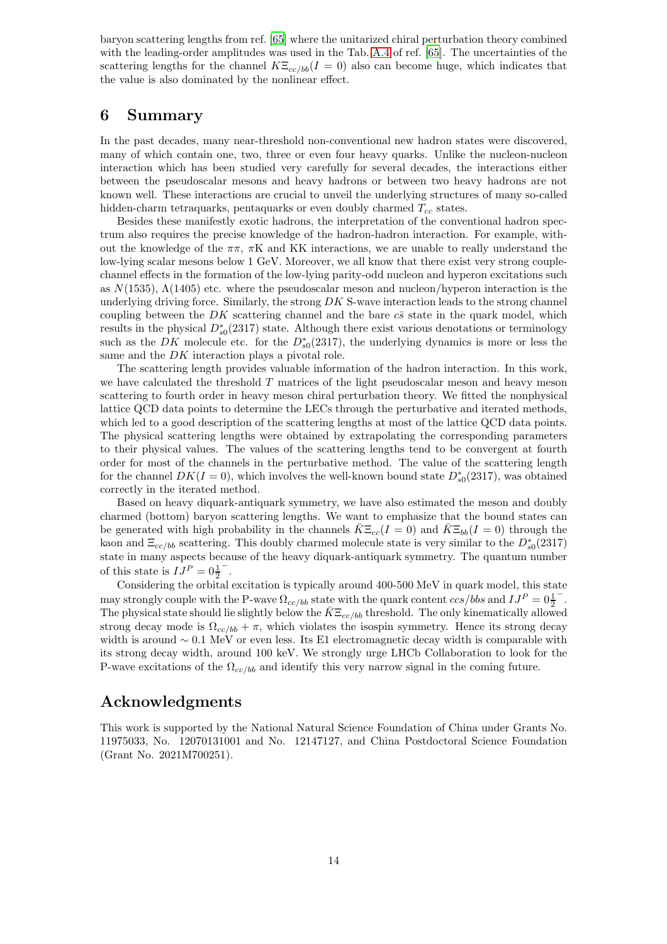baryon scattering lengths from ref. [\[65](#page-20-12)] where the unitarized chiral perturbation theory combined with the leading-order amplitudes was used in the Tab. [A.4](#page-15-1) of ref. [\[65\]](#page-20-12). The uncertainties of the scattering lengths for the channel  $K\Xi_{cc/bb}(I=0)$  also can become huge, which indicates that the value is also dominated by the nonlinear effect.

### 6 Summary

In the past decades, many near-threshold non-conventional new hadron states were discovered, many of which contain one, two, three or even four heavy quarks. Unlike the nucleon-nucleon interaction which has been studied very carefully for several decades, the interactions either between the pseudoscalar mesons and heavy hadrons or between two heavy hadrons are not known well. These interactions are crucial to unveil the underlying structures of many so-called hidden-charm tetraquarks, pentaquarks or even doubly charmed  $T_{cc}$  states.

Besides these manifestly exotic hadrons, the interpretation of the conventional hadron spectrum also requires the precise knowledge of the hadron-hadron interaction. For example, without the knowledge of the  $\pi\pi$ ,  $\pi$ K and KK interactions, we are unable to really understand the low-lying scalar mesons below 1 GeV. Moreover, we all know that there exist very strong couplechannel effects in the formation of the low-lying parity-odd nucleon and hyperon excitations such as  $N(1535)$ ,  $\Lambda(1405)$  etc. where the pseudoscalar meson and nucleon/hyperon interaction is the underlying driving force. Similarly, the strong  $DKS$ -wave interaction leads to the strong channel coupling between the DK scattering channel and the bare  $c\bar{s}$  state in the quark model, which results in the physical  $D_{s0}^*(2317)$  state. Although there exist various denotations or terminology such as the DK molecule etc. for the  $D_{s0}^*(2317)$ , the underlying dynamics is more or less the same and the DK interaction plays a pivotal role.

The scattering length provides valuable information of the hadron interaction. In this work, we have calculated the threshold T matrices of the light pseudoscalar meson and heavy meson scattering to fourth order in heavy meson chiral perturbation theory. We fitted the nonphysical lattice QCD data points to determine the LECs through the perturbative and iterated methods, which led to a good description of the scattering lengths at most of the lattice QCD data points. The physical scattering lengths were obtained by extrapolating the corresponding parameters to their physical values. The values of the scattering lengths tend to be convergent at fourth order for most of the channels in the perturbative method. The value of the scattering length for the channel  $DK(I = 0)$ , which involves the well-known bound state  $D_{s0}^*(2317)$ , was obtained correctly in the iterated method.

Based on heavy diquark-antiquark symmetry, we have also estimated the meson and doubly charmed (bottom) baryon scattering lengths. We want to emphasize that the bound states can be generated with high probability in the channels  $K\Xi_{cc}(I=0)$  and  $K\Xi_{bb}(I=0)$  through the kaon and  $\Xi_{cc/bb}$  scattering. This doubly charmed molecule state is very similar to the  $D_{s0}^*(2317)$ state in many aspects because of the heavy diquark-antiquark symmetry. The quantum number of this state is  $IJ^P = 0\frac{1}{2}$ − .

Considering the orbital excitation is typically around 400-500 MeV in quark model, this state may strongly couple with the P-wave  $\Omega_{cc/bb}$  state with the quark content  $ccs/bbs$  and  $IJ^P = 0\frac{1}{2}$ − . The physical state should lie slightly below the  $K\Xi_{cc/bb}$  threshold. The only kinematically allowed strong decay mode is  $\Omega_{cc/b} + \pi$ , which violates the isospin symmetry. Hence its strong decay width is around  $\sim 0.1$  MeV or even less. Its E1 electromagnetic decay width is comparable with its strong decay width, around 100 keV. We strongly urge LHCb Collaboration to look for the P-wave excitations of the  $\Omega_{cc/bb}$  and identify this very narrow signal in the coming future.

## Acknowledgments

This work is supported by the National Natural Science Foundation of China under Grants No. 11975033, No. 12070131001 and No. 12147127, and China Postdoctoral Science Foundation (Grant No. 2021M700251).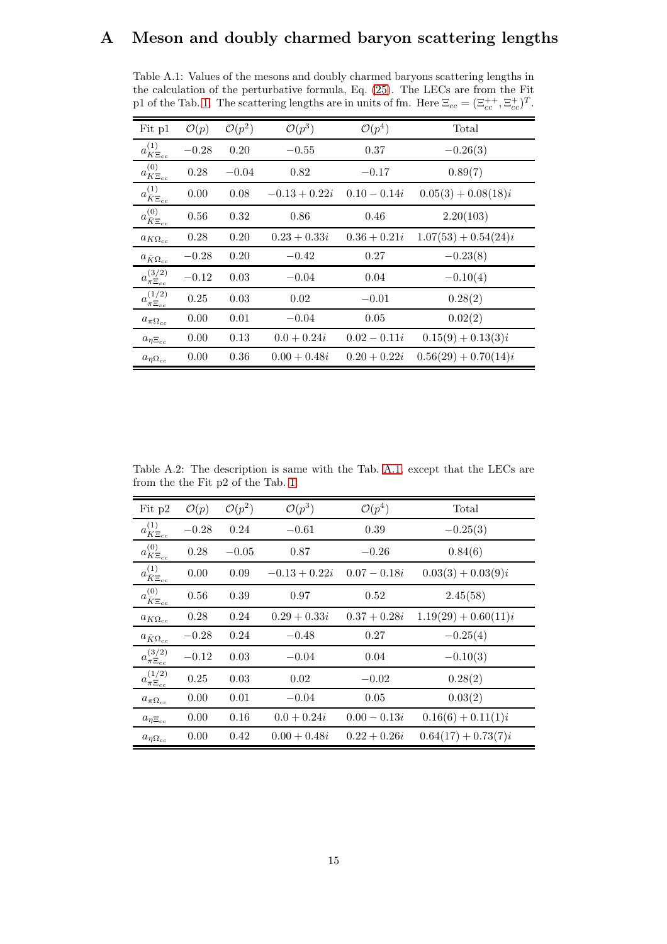## <span id="page-14-0"></span>A Meson and doubly charmed baryon scattering lengths

<span id="page-14-1"></span>Table A.1: Values of the mesons and doubly charmed baryons scattering lengths in the calculation of the perturbative formula, Eq. [\(25\)](#page-6-2). The LECs are from the Fit p1 of the Tab. [1.](#page-7-0) The scattering lengths are in units of fm. Here  $\Xi_{cc} = (\Xi_{cc}^{++}, \Xi_{cc}^{+})^T$ .

| Fit p1                              | $\mathcal{O}(p)$ | $\mathcal{O}(p^2)$ | $\mathcal{O}(p^3)$ | $\mathcal{O}(p^4)$ | Total                  |
|-------------------------------------|------------------|--------------------|--------------------|--------------------|------------------------|
| $a^{(1)}_{K\Xi_{c\underline{c}}}$   | $-0.28$          | 0.20               | $-0.55$            | 0.37               | $-0.26(3)$             |
| $a^{(0)}_{K\Xi_{cc}}$               | 0.28             | $-0.04$            | 0.82               | $-0.17$            | 0.89(7)                |
| $a_{\bar K \Xi_{cc} \over 4}^{(1)}$ | 0.00             | 0.08               | $-0.13 + 0.22i$    | $0.10 - 0.14i$     | $0.05(3) + 0.08(18)i$  |
| $a^{(0)}_{\bar K\Xi_{cc}}$          | 0.56             | 0.32               | 0.86               | 0.46               | 2.20(103)              |
| $a_{K\Omega_{cc}}$                  | 0.28             | 0.20               | $0.23 + 0.33i$     | $0.36 + 0.21i$     | $1.07(53) + 0.54(24)i$ |
| $a_{\bar K\Omega_{cc}}$             | $-0.28$          | 0.20               | $-0.42$            | 0.27               | $-0.23(8)$             |
| $a_{\pi \Xi_{cc}}^{(3/2)}$          | $-0.12$          | 0.03               | $-0.04$            | 0.04               | $-0.10(4)$             |
| $a_{\pi \Xi_{cc}}^{(1/2)}$          | 0.25             | 0.03               | 0.02               | $-0.01$            | 0.28(2)                |
| $a_{\pi \Omega_{cc}}$               | 0.00             | 0.01               | $-0.04$            | 0.05               | 0.02(2)                |
| $a_{\eta \Xi_{cc}}$                 | 0.00             | 0.13               | $0.0 + 0.24i$      | $0.02 - 0.11i$     | $0.15(9) + 0.13(3)i$   |
| $a_{\eta\Omega_{cc}}$               | 0.00             | 0.36               | $0.00 + 0.48i$     | $0.20 + 0.22i$     | $0.56(29) + 0.70(14)i$ |

<span id="page-14-2"></span>Table A.2: The description is same with the Tab. [A.1,](#page-14-1) except that the LECs are from the the Fit p2 of the Tab. [1.](#page-7-0)

| Fit p2                                  | $\mathcal{O}(p)$ | $\mathcal{O}(p^2)$ | $\mathcal{O}(p^3)$ | $\mathcal{O}(p^4)$ | Total                  |
|-----------------------------------------|------------------|--------------------|--------------------|--------------------|------------------------|
| $a^{(1)}_{K\Xi_{cc}}$                   | $-0.28$          | 0.24               | $-0.61$            | 0.39               | $-0.25(3)$             |
| $a^{(0)}_{K\Xi_{cc}}$                   | 0.28             | $-0.05$            | 0.87               | $-0.26$            | 0.84(6)                |
| $a_{\bar{K}\Xi_{cc}}^{(1)}$             | 0.00             | 0.09               | $-0.13 + 0.22i$    | $0.07 - 0.18i$     | $0.03(3) + 0.03(9)i$   |
| $a^{(0)}_{\underline{\bar{K}\Xi_{cc}}}$ | 0.56             | 0.39               | 0.97               | 0.52               | 2.45(58)               |
| $a_{K\Omega_{cc}}$                      | 0.28             | 0.24               | $0.29 + 0.33i$     | $0.37 + 0.28i$     | $1.19(29) + 0.60(11)i$ |
| $a_{\bar K\Omega_{cc}}$                 | $-0.28$          | 0.24               | $-0.48$            | 0.27               | $-0.25(4)$             |
| $a_{\pi \Xi_{cc}}^{(3/2)}$              | $-0.12$          | 0.03               | $-0.04$            | 0.04               | $-0.10(3)$             |
| $a_{\pi \Xi_{cc}}^{(1/2)}$              | 0.25             | 0.03               | 0.02               | $-0.02$            | 0.28(2)                |
| $a_{\pi\Omega_{cc}}$                    | 0.00             | 0.01               | $-0.04$            | 0.05               | 0.03(2)                |
| $a_{\eta \Xi_{cc}}$                     | 0.00             | 0.16               | $0.0 + 0.24i$      | $0.00 - 0.13i$     | $0.16(6) + 0.11(1)i$   |
| $a_{\eta\Omega_{cc}}$                   | 0.00             | 0.42               | $0.00 + 0.48i$     | $0.22 + 0.26i$     | $0.64(17) + 0.73(7)i$  |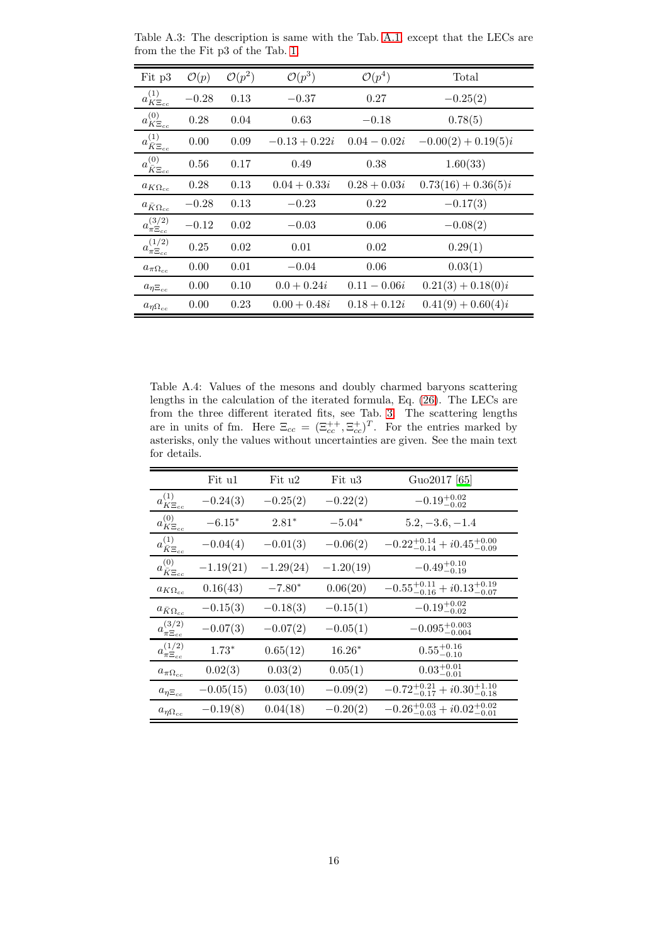| Fit p3                                  | $\mathcal{O}(p)$ | $\mathcal{O}(p^2)$ | $\mathcal{O}(p^3)$ | $\mathcal{O}(p^4)$ | Total                 |
|-----------------------------------------|------------------|--------------------|--------------------|--------------------|-----------------------|
| $a^{(1)}_{K\Xi_{cc}}$                   | $-0.28$          | 0.13               | $-0.37$            | 0.27               | $-0.25(2)$            |
| $a_{K\Xi_{cc}}^{(0)}$                   | 0.28             | 0.04               | 0.63               | $-0.18$            | 0.78(5)               |
| $a_{\overline{K\Xi_{cc}}\atop c}^{(1)}$ | 0.00             | 0.09               | $-0.13 + 0.22i$    | $0.04 - 0.02i$     | $-0.00(2) + 0.19(5)i$ |
| $a_{\bar{K}\Xi_{cc}}^{(0)}$             | 0.56             | 0.17               | 0.49               | 0.38               | 1.60(33)              |
| $a_{K\Omega_{cc}}$                      | 0.28             | 0.13               | $0.04 + 0.33i$     | $0.28 + 0.03i$     | $0.73(16) + 0.36(5)i$ |
| $a_{\bar K\Omega_{cc}}$                 | $-0.28$          | 0.13               | $-0.23$            | 0.22               | $-0.17(3)$            |
| $a_{\pi \Xi_{cc}}^{(3/2)}$              | $-0.12$          | 0.02               | $-0.03$            | 0.06               | $-0.08(2)$            |
| $a_{\pi \Xi_{cc}}^{(1/2)}$              | 0.25             | 0.02               | 0.01               | 0.02               | 0.29(1)               |
| $a_{\pi\Omega_{cc}}$                    | 0.00             | 0.01               | $-0.04$            | 0.06               | 0.03(1)               |
| $a_{\eta \Xi_{cc}}$                     | 0.00             | 0.10               | $0.0 + 0.24i$      | $0.11 - 0.06i$     | $0.21(3) + 0.18(0)i$  |
| $a_{\eta\Omega_{cc}}$                   | 0.00             | 0.23               | $0.00 + 0.48i$     | $0.18 + 0.12i$     | $0.41(9) + 0.60(4)i$  |

<span id="page-15-0"></span>Table A.3: The description is same with the Tab. [A.1,](#page-14-1) except that the LECs are from the the Fit p3 of the Tab. [1.](#page-7-0)

<span id="page-15-1"></span>Table A.4: Values of the mesons and doubly charmed baryons scattering lengths in the calculation of the iterated formula, Eq. [\(26\)](#page-6-3). The LECs are from the three different iterated fits, see Tab. [3.](#page-11-0) The scattering lengths are in units of fm. Here  $\Xi_{cc} = (\Xi_{cc}^{++}, \Xi_{cc}^{+})^T$ . For the entries marked by asterisks, only the values without uncertainties are given. See the main text for details.

|                             | Fit u1      | Fit u2      | Fit u3      | Guo2017 [65]                                    |
|-----------------------------|-------------|-------------|-------------|-------------------------------------------------|
| $a_{K\Xi_{cc}}^{(1)}$       | $-0.24(3)$  | $-0.25(2)$  | $-0.22(2)$  | $-0.19^{+0.02}_{-0.02}$                         |
| $a^{(0)}_{K\Xi_{cc}}$       | $-6.15*$    | $2.81*$     | $-5.04*$    | $5.2, -3.6, -1.4$                               |
| $a_{\bar{K}\Xi_{cc}}^{(1)}$ | $-0.04(4)$  | $-0.01(3)$  | $-0.06(2)$  | $-0.22^{+0.14}_{-0.14} + i0.45^{+0.00}_{-0.09}$ |
| $a^{(0)}_{\bar K\Xi_{cc}}$  | $-1.19(21)$ | $-1.29(24)$ | $-1.20(19)$ | $-0.49^{+0.10}_{-0.19}$                         |
| $a_{K\Omega_{cc}}$          | 0.16(43)    | $-7.80*$    | 0.06(20)    | $-0.55_{-0.16}^{+0.11} + i0.13_{-0.07}^{+0.19}$ |
| $a_{\bar{K}\Omega_{cc}}$    | $-0.15(3)$  | $-0.18(3)$  | $-0.15(1)$  | $-0.19_{-0.02}^{+0.02}$                         |
| $a_{\pi \Xi_{cc}}^{(3/2)}$  | $-0.07(3)$  | $-0.07(2)$  | $-0.05(1)$  | $-0.095_{-0.004}^{+0.003}$                      |
| $a_{\pi \Xi_{cc}}^{(1/2)}$  | $1.73*$     | 0.65(12)    | $16.26*$    | $0.55^{+0.16}_{-0.10}$                          |
| $a_{\pi \Omega_{cc}}$       | 0.02(3)     | 0.03(2)     | 0.05(1)     | $0.03^{+0.01}_{-0.01}$                          |
| $a_{\eta \Xi_{cc}}$         | $-0.05(15)$ | 0.03(10)    | $-0.09(2)$  | $-0.72^{+0.21}_{-0.17} + i0.30^{+1.10}_{-0.18}$ |
| $a_{\eta\Omega_{cc}}$       | $-0.19(8)$  | 0.04(18)    | $-0.20(2)$  | $-0.26_{-0.03}^{+0.03} + i0.02_{-0.01}^{+0.02}$ |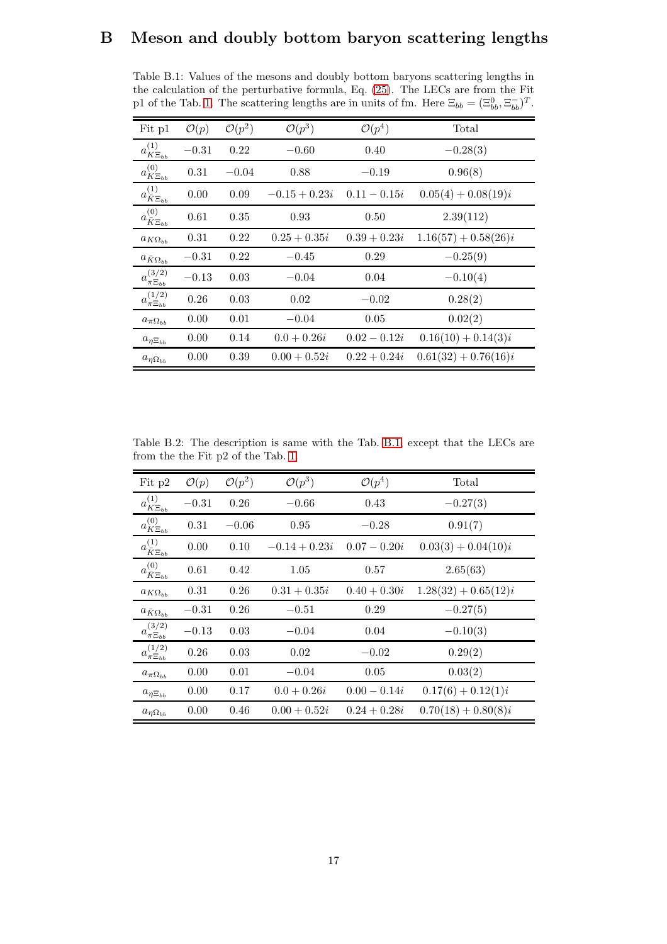## <span id="page-16-0"></span>B Meson and doubly bottom baryon scattering lengths

<span id="page-16-1"></span>Table B.1: Values of the mesons and doubly bottom baryons scattering lengths in the calculation of the perturbative formula, Eq. [\(25\)](#page-6-2). The LECs are from the Fit p1 of the Tab. [1.](#page-7-0) The scattering lengths are in units of fm. Here  $\Xi_{bb} = (\Xi_{bb}^0, \Xi_{bb}^-)^T$ .

| Fit p1                                  | $\mathcal{O}(p)$ | $\mathcal{O}(p^2)$ | $\mathcal{O}(p^3)$ | $\mathcal{O}(p^4)$ | Total                  |
|-----------------------------------------|------------------|--------------------|--------------------|--------------------|------------------------|
| $a^{(1)}_{K\Xi_{bb}}$                   | $-0.31$          | 0.22               | $-0.60$            | 0.40               | $-0.28(3)$             |
| $a_{K\Xi_{bb}}^{(0)}$                   | 0.31             | $-0.04$            | 0.88               | $-0.19$            | 0.96(8)                |
| $a^{(1)}_{\underline{\bar{K}\Xi_{bb}}}$ | 0.00             | 0.09               | $-0.15 + 0.23i$    | $0.11 - 0.15i$     | $0.05(4) + 0.08(19)i$  |
| $a^{(0)}_{\bar K \Xi_{bb}}$             | 0.61             | 0.35               | 0.93               | 0.50               | 2.39(112)              |
| $a_{K\Omega_{bb}}$                      | 0.31             | 0.22               | $0.25 + 0.35i$     | $0.39 + 0.23i$     | $1.16(57) + 0.58(26)i$ |
| $a_{\bar K\Omega_{bb}}$                 | $-0.31$          | 0.22               | $-0.45$            | 0.29               | $-0.25(9)$             |
| $a_{\pi \Xi_{bb}}^{(3/2)}$              | $-0.13$          | 0.03               | $-0.04$            | 0.04               | $-0.10(4)$             |
| $a_{\pi \Xi_{bb}}^{(1/2)}$              | 0.26             | 0.03               | 0.02               | $-0.02$            | 0.28(2)                |
| $a_{\pi\Omega_{bb}}$                    | 0.00             | 0.01               | $-0.04$            | 0.05               | 0.02(2)                |
| $a_{\eta \Xi_{bb}}$                     | 0.00             | 0.14               | $0.0 + 0.26i$      | $0.02 - 0.12i$     | $0.16(10) + 0.14(3)i$  |
| $a_{\eta\Omega_{bb}}$                   | 0.00             | 0.39               | $0.00 + 0.52i$     | $0.22 + 0.24i$     | $0.61(32) + 0.76(16)i$ |

<span id="page-16-2"></span>Table B.2: The description is same with the Tab. [B.1,](#page-16-1) except that the LECs are from the the Fit p2 of the Tab. [1.](#page-7-0)

| Fit p2                                  | $\mathcal{O}(p)$ | $\mathcal{O}(p^2)$ | $\mathcal{O}(p^3)$ | $\mathcal{O}(p^4)$ | Total                  |
|-----------------------------------------|------------------|--------------------|--------------------|--------------------|------------------------|
| $a^{(1)}_{K\Xi_{bb}}$                   | $-0.31$          | 0.26               | $-0.66$            | 0.43               | $-0.27(3)$             |
| $a^{(0)}_{K\Xi_{bb}}$                   | 0.31             | $-0.06$            | 0.95               | $-0.28$            | 0.91(7)                |
| $a^{(1)}_{\underline{\bar{K}\Xi_{bb}}}$ | 0.00             | 0.10               | $-0.14 + 0.23i$    | $0.07 - 0.20i$     | $0.03(3) + 0.04(10)i$  |
| $a^{(0)}_{\bar K \Xi_{bb}}$             | 0.61             | 0.42               | 1.05               | 0.57               | 2.65(63)               |
| $a_{K\Omega_{bb}}$                      | 0.31             | 0.26               | $0.31 + 0.35i$     | $0.40 + 0.30i$     | $1.28(32) + 0.65(12)i$ |
| $a_{\bar K\Omega_{bb}}$                 | $-0.31$          | 0.26               | $-0.51$            | 0.29               | $-0.27(5)$             |
| $a_{\pi \Xi_{bb}}^{(3/2)}$              | $-0.13$          | 0.03               | $-0.04$            | 0.04               | $-0.10(3)$             |
| $a_{\pi \Xi_{bb}}^{(1/2)}$              | 0.26             | 0.03               | 0.02               | $-0.02$            | 0.29(2)                |
| $a_{\pi\Omega_{bb}}$                    | 0.00             | 0.01               | $-0.04$            | 0.05               | 0.03(2)                |
| $a_{\eta \Xi_{bb}}$                     | 0.00             | 0.17               | $0.0 + 0.26i$      | $0.00 - 0.14i$     | $0.17(6) + 0.12(1)i$   |
| $a_{\eta\Omega_{bb}}$                   | 0.00             | 0.46               | $0.00 + 0.52i$     | $0.24 + 0.28i$     | $0.70(18) + 0.80(8)i$  |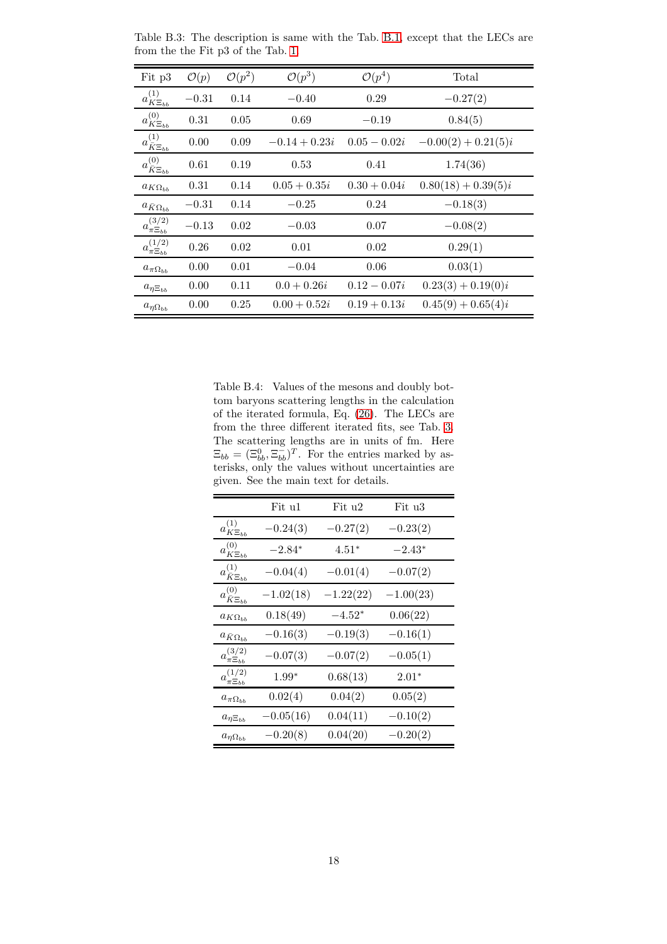| Fit p3                                  | $\mathcal{O}(p)$ | $\mathcal{O}(p^2)$ | $\mathcal{O}(p^3)$ | $\mathcal{O}(p^4)$ | Total                 |
|-----------------------------------------|------------------|--------------------|--------------------|--------------------|-----------------------|
| $a_{K\Xi_{bb}}^{(1)}$                   | $-0.31$          | 0.14               | $-0.40$            | 0.29               | $-0.27(2)$            |
| $a_{K\Xi_{bb}}^{(0)}$                   | 0.31             | 0.05               | 0.69               | $-0.19$            | 0.84(5)               |
| $a^{(1)}_{\underline{\bar{K}\Xi_{bb}}}$ | 0.00             | 0.09               | $-0.14 + 0.23i$    | $0.05 - 0.02i$     | $-0.00(2) + 0.21(5)i$ |
| $a^{(0)}_{\bar K \Xi_{bb}}$             | 0.61             | 0.19               | 0.53               | 0.41               | 1.74(36)              |
| $a_{K\Omega_{bb}}$                      | 0.31             | 0.14               | $0.05 + 0.35i$     | $0.30 + 0.04i$     | $0.80(18) + 0.39(5)i$ |
| $a_{\bar K\Omega_{bb}}$                 | $-0.31$          | 0.14               | $-0.25$            | 0.24               | $-0.18(3)$            |
| $a_{\pi \Xi_{bb}}^{(3/2)}$              | $-0.13$          | 0.02               | $-0.03$            | 0.07               | $-0.08(2)$            |
| $a_{\pi \Xi_{bb}}^{(1/2)}$              | 0.26             | 0.02               | 0.01               | 0.02               | 0.29(1)               |
| $a_{\pi\Omega_{bb}}$                    | 0.00             | 0.01               | $-0.04$            | 0.06               | 0.03(1)               |
| $a_{\eta \Xi_{bb}}$                     | 0.00             | 0.11               | $0.0 + 0.26i$      | $0.12 - 0.07i$     | $0.23(3) + 0.19(0)i$  |
| $a_{\eta\Omega_{bb}}$                   | 0.00             | 0.25               | $0.00 + 0.52i$     | $0.19 + 0.13i$     | $0.45(9) + 0.65(4)i$  |

<span id="page-17-0"></span>Table B.3: The description is same with the Tab. [B.1,](#page-16-1) except that the LECs are from the the Fit p3 of the Tab. [1.](#page-7-0)

<span id="page-17-1"></span>Table B.4: Values of the mesons and doubly bottom baryons scattering lengths in the calculation of the iterated formula, Eq. [\(26\)](#page-6-3). The LECs are from the three different iterated fits, see Tab. [3.](#page-11-0) The scattering lengths are in units of fm. Here  $\Xi_{bb} = (\Xi_{bb}^0, \Xi_{bb}^-)^T$ . For the entries marked by asterisks, only the values without uncertainties are given. See the main text for details.

|                                                                                      | Fit u1      | Fit u2      | Fit u3      |
|--------------------------------------------------------------------------------------|-------------|-------------|-------------|
| $a^{(1)}_{K \Xi_{bb}}$                                                               | $-0.24(3)$  | $-0.27(2)$  | $-0.23(2)$  |
| (0)<br>$a_{K\Xi_{bb}}$                                                               | $-2.84*$    | $4.51*$     | $-2.43*$    |
| (1)<br>$a_{\bar K \Xi_{bb}}$                                                         | $-0.04(4)$  | $-0.01(4)$  | $-0.07(2)$  |
| $a^{(0)}_{\bar K \Xi_{bb}}$                                                          | $-1.02(18)$ | $-1.22(22)$ | $-1.00(23)$ |
| $a_{K\Omega_{bb}}$                                                                   | 0.18(49)    | $-4.52*$    | 0.06(22)    |
| $a_{\bar K\Omega_{bb}}$                                                              | $-0.16(3)$  | $-0.19(3)$  | $-0.16(1)$  |
| (3/2)<br>$a_{\pi \Xi_{bb}}$                                                          | $-0.07(3)$  | $-0.07(2)$  | $-0.05(1)$  |
| (1/2)<br>$a^{\scriptscriptstyle \diagdown\,}_{\pi \Xi_{\underline{b}\underline{b}}}$ | $1.99*$     | 0.68(13)    | $2.01*$     |
| $a_{\pi\Omega_{bb}}$                                                                 | 0.02(4)     | 0.04(2)     | 0.05(2)     |
| $a_{\eta \Xi_{bb}}$                                                                  | $-0.05(16)$ | 0.04(11)    | $-0.10(2)$  |
| $a_{\eta\Omega_{bb}}$                                                                | $-0.20(8)$  | 0.04(20)    | $-0.20(2)$  |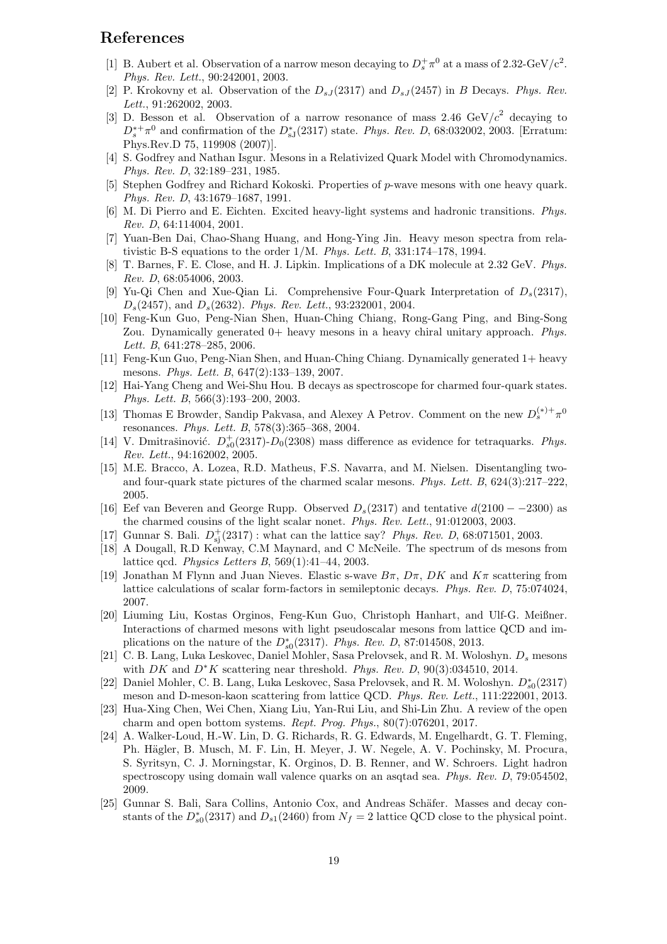## References

- <span id="page-18-0"></span>[1] B. Aubert et al. Observation of a narrow meson decaying to  $D_s^+\pi^0$  at a mass of 2.32-GeV/c<sup>2</sup>. Phys. Rev. Lett., 90:242001, 2003.
- <span id="page-18-1"></span>[2] P. Krokovny et al. Observation of the  $D_{sJ}(2317)$  and  $D_{sJ}(2457)$  in B Decays. Phys. Rev. Lett., 91:262002, 2003.
- <span id="page-18-2"></span>[3] D. Besson et al. Observation of a narrow resonance of mass 2.46 GeV/ $c^2$  decaying to  $D_s^{*+}\pi^0$  and confirmation of the  $D_{sJ}^{*}(2317)$  state. Phys. Rev. D, 68:032002, 2003. [Erratum: Phys.Rev.D 75, 119908 (2007)].
- <span id="page-18-3"></span>[4] S. Godfrey and Nathan Isgur. Mesons in a Relativized Quark Model with Chromodynamics. Phys. Rev. D, 32:189–231, 1985.
- <span id="page-18-4"></span>[5] Stephen Godfrey and Richard Kokoski. Properties of p-wave mesons with one heavy quark. Phys. Rev. D, 43:1679–1687, 1991.
- <span id="page-18-5"></span>[6] M. Di Pierro and E. Eichten. Excited heavy-light systems and hadronic transitions. Phys. Rev. D, 64:114004, 2001.
- <span id="page-18-6"></span>[7] Yuan-Ben Dai, Chao-Shang Huang, and Hong-Ying Jin. Heavy meson spectra from relativistic B-S equations to the order 1/M. Phys. Lett. B, 331:174–178, 1994.
- <span id="page-18-7"></span>[8] T. Barnes, F. E. Close, and H. J. Lipkin. Implications of a DK molecule at 2.32 GeV. Phys. Rev. D, 68:054006, 2003.
- <span id="page-18-8"></span>[9] Yu-Qi Chen and Xue-Qian Li. Comprehensive Four-Quark Interpretation of  $D_s(2317)$ , Ds(2457), and Ds(2632). Phys. Rev. Lett., 93:232001, 2004.
- <span id="page-18-9"></span>[10] Feng-Kun Guo, Peng-Nian Shen, Huan-Ching Chiang, Rong-Gang Ping, and Bing-Song Zou. Dynamically generated  $0+$  heavy mesons in a heavy chiral unitary approach. Phys. Lett. B, 641:278–285, 2006.
- <span id="page-18-10"></span>[11] Feng-Kun Guo, Peng-Nian Shen, and Huan-Ching Chiang. Dynamically generated 1+ heavy mesons. Phys. Lett. B, 647(2):133–139, 2007.
- <span id="page-18-11"></span>[12] Hai-Yang Cheng and Wei-Shu Hou. B decays as spectroscope for charmed four-quark states. Phys. Lett. B, 566(3):193–200, 2003.
- <span id="page-18-12"></span>[13] Thomas E Browder, Sandip Pakvasa, and Alexey A Petrov. Comment on the new  $D_s^{(*)+} \pi^0$ resonances. Phys. Lett. B, 578(3):365–368, 2004.
- <span id="page-18-13"></span>[14] V. Dmitrašinović.  $D_{s0}^+(2317)$ - $D_0(2308)$  mass difference as evidence for tetraquarks. *Phys.* Rev. Lett., 94:162002, 2005.
- <span id="page-18-14"></span>[15] M.E. Bracco, A. Lozea, R.D. Matheus, F.S. Navarra, and M. Nielsen. Disentangling twoand four-quark state pictures of the charmed scalar mesons. Phys. Lett. B, 624(3):217–222, 2005.
- <span id="page-18-15"></span>[16] Eef van Beveren and George Rupp. Observed  $D_s(2317)$  and tentative  $d(2100 - 2300)$  as the charmed cousins of the light scalar nonet. Phys. Rev. Lett., 91:012003, 2003.
- <span id="page-18-16"></span>[17] Gunnar S. Bali.  $D_{sj}^+(2317)$ : what can the lattice say? *Phys. Rev. D*, 68:071501, 2003.
- <span id="page-18-17"></span>[18] A Dougall, R.D Kenway, C.M Maynard, and C McNeile. The spectrum of ds mesons from lattice qcd. Physics Letters B, 569(1):41–44, 2003.
- <span id="page-18-18"></span>[19] Jonathan M Flynn and Juan Nieves. Elastic s-wave  $B\pi$ ,  $D\pi$ ,  $DK$  and  $K\pi$  scattering from lattice calculations of scalar form-factors in semileptonic decays. Phys. Rev. D, 75:074024, 2007.
- <span id="page-18-19"></span>[20] Liuming Liu, Kostas Orginos, Feng-Kun Guo, Christoph Hanhart, and Ulf-G. Meißner. Interactions of charmed mesons with light pseudoscalar mesons from lattice QCD and implications on the nature of the  $D_{s0}^*(2317)$ . Phys. Rev. D, 87:014508, 2013.
- <span id="page-18-20"></span>[21] C. B. Lang, Luka Leskovec, Daniel Mohler, Sasa Prelovsek, and R. M. Woloshyn.  $D_s$  mesons with DK and  $D^*K$  scattering near threshold. Phys. Rev. D, 90(3):034510, 2014.
- <span id="page-18-21"></span>[22] Daniel Mohler, C. B. Lang, Luka Leskovec, Sasa Prelovsek, and R. M. Woloshyn.  $D_{s0}^*(2317)$ meson and D-meson-kaon scattering from lattice QCD. Phys. Rev. Lett., 111:222001, 2013.
- <span id="page-18-22"></span>[23] Hua-Xing Chen, Wei Chen, Xiang Liu, Yan-Rui Liu, and Shi-Lin Zhu. A review of the open charm and open bottom systems. Rept. Prog. Phys., 80(7):076201, 2017.
- <span id="page-18-23"></span>[24] A. Walker-Loud, H.-W. Lin, D. G. Richards, R. G. Edwards, M. Engelhardt, G. T. Fleming, Ph. Hägler, B. Musch, M. F. Lin, H. Meyer, J. W. Negele, A. V. Pochinsky, M. Procura, S. Syritsyn, C. J. Morningstar, K. Orginos, D. B. Renner, and W. Schroers. Light hadron spectroscopy using domain wall valence quarks on an asqtad sea. Phys. Rev. D, 79:054502, 2009.
- <span id="page-18-24"></span>[25] Gunnar S. Bali, Sara Collins, Antonio Cox, and Andreas Schäfer. Masses and decay constants of the  $D_{s0}^*(2317)$  and  $D_{s1}(2460)$  from  $N_f = 2$  lattice QCD close to the physical point.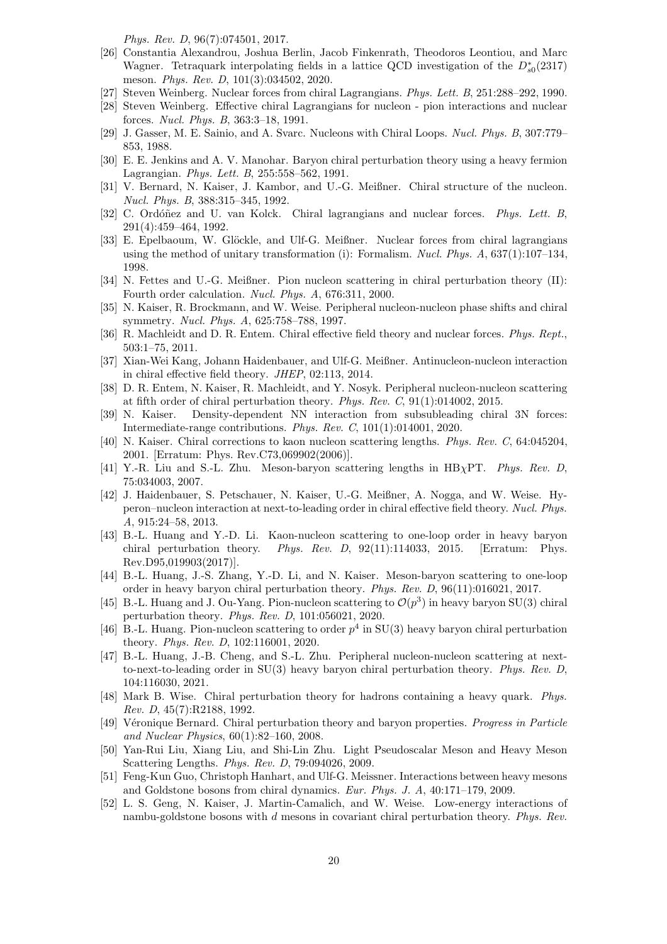Phys. Rev. D, 96(7):074501, 2017.

- <span id="page-19-0"></span>[26] Constantia Alexandrou, Joshua Berlin, Jacob Finkenrath, Theodoros Leontiou, and Marc Wagner. Tetraquark interpolating fields in a lattice QCD investigation of the  $D_{s0}^*(2317)$ meson. Phys. Rev. D, 101(3):034502, 2020.
- <span id="page-19-1"></span>[27] Steven Weinberg. Nuclear forces from chiral Lagrangians. Phys. Lett. B, 251:288–292, 1990.
- <span id="page-19-2"></span>[28] Steven Weinberg. Effective chiral Lagrangians for nucleon - pion interactions and nuclear forces. Nucl. Phys. B, 363:3–18, 1991.
- <span id="page-19-3"></span>[29] J. Gasser, M. E. Sainio, and A. Svarc. Nucleons with Chiral Loops. Nucl. Phys. B, 307:779– 853, 1988.
- <span id="page-19-4"></span>[30] E. E. Jenkins and A. V. Manohar. Baryon chiral perturbation theory using a heavy fermion Lagrangian. Phys. Lett. B, 255:558–562, 1991.
- <span id="page-19-5"></span>[31] V. Bernard, N. Kaiser, J. Kambor, and U.-G. Meißner. Chiral structure of the nucleon. Nucl. Phys. B, 388:315–345, 1992.
- <span id="page-19-6"></span>[32] C. Ordóñez and U. van Kolck. Chiral lagrangians and nuclear forces. Phys. Lett. B, 291(4):459–464, 1992.
- <span id="page-19-7"></span>[33] E. Epelbaoum, W. Glöckle, and Ulf-G. Meißner. Nuclear forces from chiral lagrangians using the method of unitary transformation (i): Formalism. Nucl. Phys.  $A$ , 637(1):107-134, 1998.
- <span id="page-19-8"></span>[34] N. Fettes and U.-G. Meißner. Pion nucleon scattering in chiral perturbation theory (II): Fourth order calculation. Nucl. Phys. A, 676:311, 2000.
- <span id="page-19-9"></span>[35] N. Kaiser, R. Brockmann, and W. Weise. Peripheral nucleon-nucleon phase shifts and chiral symmetry. Nucl. Phys. A, 625:758–788, 1997.
- <span id="page-19-10"></span>[36] R. Machleidt and D. R. Entem. Chiral effective field theory and nuclear forces. Phys. Rept., 503:1–75, 2011.
- <span id="page-19-11"></span>[37] Xian-Wei Kang, Johann Haidenbauer, and Ulf-G. Meißner. Antinucleon-nucleon interaction in chiral effective field theory. JHEP, 02:113, 2014.
- <span id="page-19-12"></span>[38] D. R. Entem, N. Kaiser, R. Machleidt, and Y. Nosyk. Peripheral nucleon-nucleon scattering at fifth order of chiral perturbation theory. Phys. Rev. C, 91(1):014002, 2015.
- <span id="page-19-13"></span>[39] N. Kaiser. Density-dependent NN interaction from subsubleading chiral 3N forces: Intermediate-range contributions. Phys. Rev. C, 101(1):014001, 2020.
- <span id="page-19-14"></span>[40] N. Kaiser. Chiral corrections to kaon nucleon scattering lengths. Phys. Rev. C, 64:045204, 2001. [Erratum: Phys. Rev.C73,069902(2006)].
- <span id="page-19-15"></span>[41] Y.-R. Liu and S.-L. Zhu. Meson-baryon scattering lengths in  $HB\chi PT$ . Phys. Rev. D. 75:034003, 2007.
- <span id="page-19-16"></span>[42] J. Haidenbauer, S. Petschauer, N. Kaiser, U.-G. Meißner, A. Nogga, and W. Weise. Hyperon–nucleon interaction at next-to-leading order in chiral effective field theory. Nucl. Phys. A, 915:24–58, 2013.
- <span id="page-19-17"></span>[43] B.-L. Huang and Y.-D. Li. Kaon-nucleon scattering to one-loop order in heavy baryon chiral perturbation theory. Phys. Rev. D, 92(11):114033, 2015. [Erratum: Phys. Rev.D95,019903(2017)].
- <span id="page-19-18"></span>[44] B.-L. Huang, J.-S. Zhang, Y.-D. Li, and N. Kaiser. Meson-baryon scattering to one-loop order in heavy baryon chiral perturbation theory. Phys. Rev. D, 96(11):016021, 2017.
- <span id="page-19-19"></span>[45] B.-L. Huang and J. Ou-Yang. Pion-nucleon scattering to  $\mathcal{O}(p^3)$  in heavy baryon SU(3) chiral perturbation theory. Phys. Rev. D, 101:056021, 2020.
- <span id="page-19-20"></span>[46] B.-L. Huang. Pion-nucleon scattering to order  $p^4$  in SU(3) heavy baryon chiral perturbation theory. Phys. Rev. D, 102:116001, 2020.
- <span id="page-19-21"></span>[47] B.-L. Huang, J.-B. Cheng, and S.-L. Zhu. Peripheral nucleon-nucleon scattering at nextto-next-to-leading order in SU(3) heavy baryon chiral perturbation theory. Phys. Rev. D, 104:116030, 2021.
- <span id="page-19-22"></span>[48] Mark B. Wise. Chiral perturbation theory for hadrons containing a heavy quark. Phys. Rev. D, 45(7):R2188, 1992.
- <span id="page-19-23"></span>[49] Véronique Bernard. Chiral perturbation theory and baryon properties. Progress in Particle and Nuclear Physics, 60(1):82–160, 2008.
- <span id="page-19-24"></span>[50] Yan-Rui Liu, Xiang Liu, and Shi-Lin Zhu. Light Pseudoscalar Meson and Heavy Meson Scattering Lengths. Phys. Rev. D, 79:094026, 2009.
- <span id="page-19-25"></span>[51] Feng-Kun Guo, Christoph Hanhart, and Ulf-G. Meissner. Interactions between heavy mesons and Goldstone bosons from chiral dynamics. Eur. Phys. J. A, 40:171–179, 2009.
- <span id="page-19-26"></span>[52] L. S. Geng, N. Kaiser, J. Martin-Camalich, and W. Weise. Low-energy interactions of nambu-goldstone bosons with d mesons in covariant chiral perturbation theory. Phys. Rev.